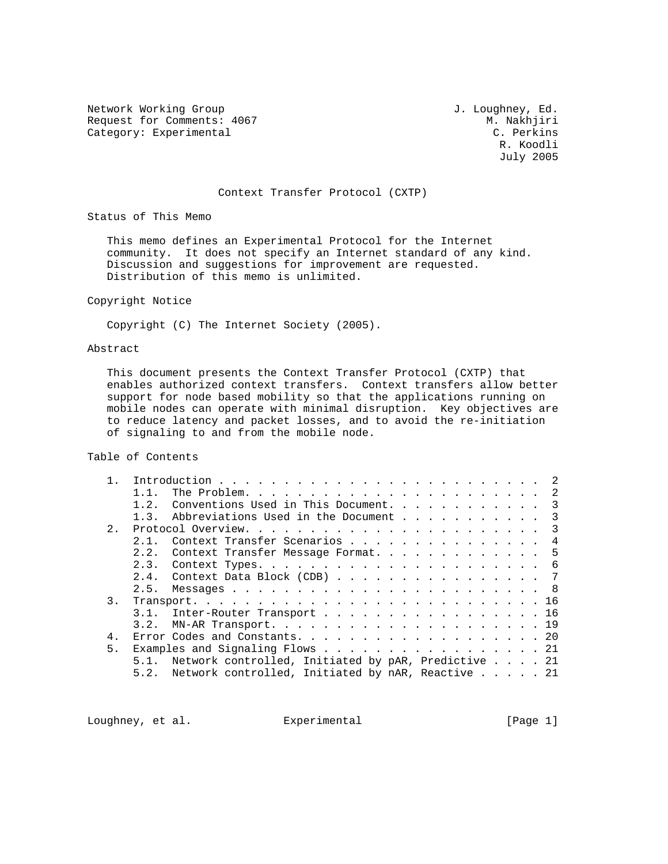Network Working Group and Section 1. Loughney, Ed. Request for Comments: 4067 M. Nakhjiri<br>
Category: Experimental C. Perkins Category: Experimental

 R. Koodli July 2005

### Context Transfer Protocol (CXTP)

Status of This Memo

 This memo defines an Experimental Protocol for the Internet community. It does not specify an Internet standard of any kind. Discussion and suggestions for improvement are requested. Distribution of this memo is unlimited.

### Copyright Notice

Copyright (C) The Internet Society (2005).

# Abstract

 This document presents the Context Transfer Protocol (CXTP) that enables authorized context transfers. Context transfers allow better support for node based mobility so that the applications running on mobile nodes can operate with minimal disruption. Key objectives are to reduce latency and packet losses, and to avoid the re-initiation of signaling to and from the mobile node.

Table of Contents

|        | $1\quad 2$ | Conventions Used in This Document. 3                     |  |   |
|--------|------------|----------------------------------------------------------|--|---|
|        |            | 1.3. Abbreviations Used in the Document 3                |  |   |
| 2.     |            |                                                          |  |   |
|        |            | Context Transfer Scenarios                               |  | 4 |
|        | 2.2.       | Context Transfer Message Format. 5                       |  |   |
|        | 2.3.       |                                                          |  |   |
|        |            | 2.4. Context Data Block (CDB) $\ldots$ 7                 |  |   |
|        |            |                                                          |  |   |
| 3.     |            |                                                          |  |   |
|        |            | 3.1. Inter-Router Transport 16                           |  |   |
|        | 3.2.       |                                                          |  |   |
| $4 \,$ |            | Error Codes and Constants. 20                            |  |   |
| 5.     |            | Examples and Signaling Flows 21                          |  |   |
|        |            | 5.1. Network controlled, Initiated by pAR, Predictive 21 |  |   |
|        |            | 5.2. Network controlled, Initiated by nAR, Reactive 21   |  |   |

Loughney, et al. Experimental Experimental [Page 1]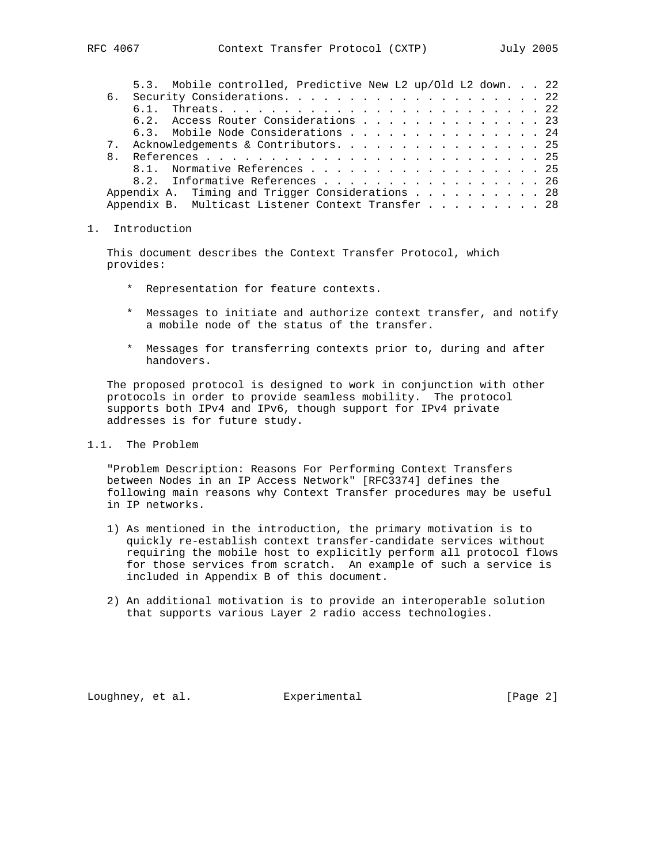| 5.3. Mobile controlled, Predictive New L2 up/Old L2 down. 22 |  |  |  |  |  |
|--------------------------------------------------------------|--|--|--|--|--|
|                                                              |  |  |  |  |  |
|                                                              |  |  |  |  |  |
| 6.2. Access Router Considerations 23                         |  |  |  |  |  |
| 6.3. Mobile Node Considerations 24                           |  |  |  |  |  |
| 7. Acknowledgements & Contributors 25                        |  |  |  |  |  |
|                                                              |  |  |  |  |  |
| 8.1. Normative References 25                                 |  |  |  |  |  |
| 8.2. Informative References 26                               |  |  |  |  |  |
| Appendix A. Timing and Trigger Considerations 28             |  |  |  |  |  |
| Appendix B. Multicast Listener Context Transfer 28           |  |  |  |  |  |

### 1. Introduction

 This document describes the Context Transfer Protocol, which provides:

- \* Representation for feature contexts.
- \* Messages to initiate and authorize context transfer, and notify a mobile node of the status of the transfer.
- \* Messages for transferring contexts prior to, during and after handovers.

 The proposed protocol is designed to work in conjunction with other protocols in order to provide seamless mobility. The protocol supports both IPv4 and IPv6, though support for IPv4 private addresses is for future study.

## 1.1. The Problem

 "Problem Description: Reasons For Performing Context Transfers between Nodes in an IP Access Network" [RFC3374] defines the following main reasons why Context Transfer procedures may be useful in IP networks.

- 1) As mentioned in the introduction, the primary motivation is to quickly re-establish context transfer-candidate services without requiring the mobile host to explicitly perform all protocol flows for those services from scratch. An example of such a service is included in Appendix B of this document.
- 2) An additional motivation is to provide an interoperable solution that supports various Layer 2 radio access technologies.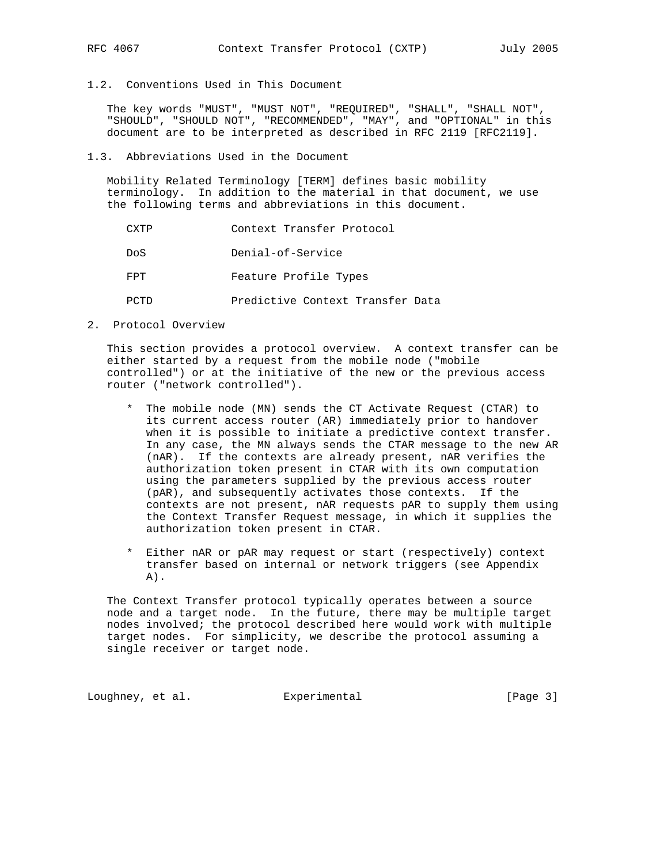1.2. Conventions Used in This Document

 The key words "MUST", "MUST NOT", "REQUIRED", "SHALL", "SHALL NOT", "SHOULD", "SHOULD NOT", "RECOMMENDED", "MAY", and "OPTIONAL" in this document are to be interpreted as described in RFC 2119 [RFC2119].

### 1.3. Abbreviations Used in the Document

 Mobility Related Terminology [TERM] defines basic mobility terminology. In addition to the material in that document, we use the following terms and abbreviations in this document.

|      | Context Transfer Protocol        |
|------|----------------------------------|
| Do S | Denial-of-Service                |
| FPT  | Feature Profile Types            |
|      | Predictive Context Transfer Data |

2. Protocol Overview

 This section provides a protocol overview. A context transfer can be either started by a request from the mobile node ("mobile controlled") or at the initiative of the new or the previous access router ("network controlled").

- \* The mobile node (MN) sends the CT Activate Request (CTAR) to its current access router (AR) immediately prior to handover when it is possible to initiate a predictive context transfer. In any case, the MN always sends the CTAR message to the new AR (nAR). If the contexts are already present, nAR verifies the authorization token present in CTAR with its own computation using the parameters supplied by the previous access router (pAR), and subsequently activates those contexts. If the contexts are not present, nAR requests pAR to supply them using the Context Transfer Request message, in which it supplies the authorization token present in CTAR.
- \* Either nAR or pAR may request or start (respectively) context transfer based on internal or network triggers (see Appendix  $A)$ .

 The Context Transfer protocol typically operates between a source node and a target node. In the future, there may be multiple target nodes involved; the protocol described here would work with multiple target nodes. For simplicity, we describe the protocol assuming a single receiver or target node.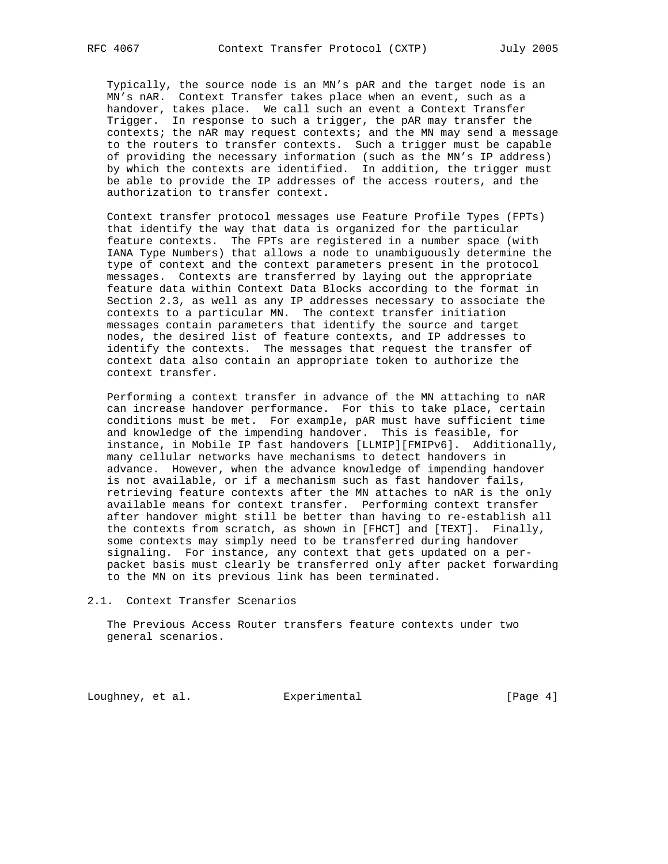Typically, the source node is an MN's pAR and the target node is an MN's nAR. Context Transfer takes place when an event, such as a handover, takes place. We call such an event a Context Transfer Trigger. In response to such a trigger, the pAR may transfer the contexts; the nAR may request contexts; and the MN may send a message to the routers to transfer contexts. Such a trigger must be capable of providing the necessary information (such as the MN's IP address) by which the contexts are identified. In addition, the trigger must be able to provide the IP addresses of the access routers, and the authorization to transfer context.

 Context transfer protocol messages use Feature Profile Types (FPTs) that identify the way that data is organized for the particular feature contexts. The FPTs are registered in a number space (with IANA Type Numbers) that allows a node to unambiguously determine the type of context and the context parameters present in the protocol messages. Contexts are transferred by laying out the appropriate feature data within Context Data Blocks according to the format in Section 2.3, as well as any IP addresses necessary to associate the contexts to a particular MN. The context transfer initiation messages contain parameters that identify the source and target nodes, the desired list of feature contexts, and IP addresses to identify the contexts. The messages that request the transfer of context data also contain an appropriate token to authorize the context transfer.

 Performing a context transfer in advance of the MN attaching to nAR can increase handover performance. For this to take place, certain conditions must be met. For example, pAR must have sufficient time and knowledge of the impending handover. This is feasible, for instance, in Mobile IP fast handovers [LLMIP][FMIPv6]. Additionally, many cellular networks have mechanisms to detect handovers in advance. However, when the advance knowledge of impending handover is not available, or if a mechanism such as fast handover fails, retrieving feature contexts after the MN attaches to nAR is the only available means for context transfer. Performing context transfer after handover might still be better than having to re-establish all the contexts from scratch, as shown in [FHCT] and [TEXT]. Finally, some contexts may simply need to be transferred during handover signaling. For instance, any context that gets updated on a per packet basis must clearly be transferred only after packet forwarding to the MN on its previous link has been terminated.

### 2.1. Context Transfer Scenarios

 The Previous Access Router transfers feature contexts under two general scenarios.

Loughney, et al. Experimental [Page 4]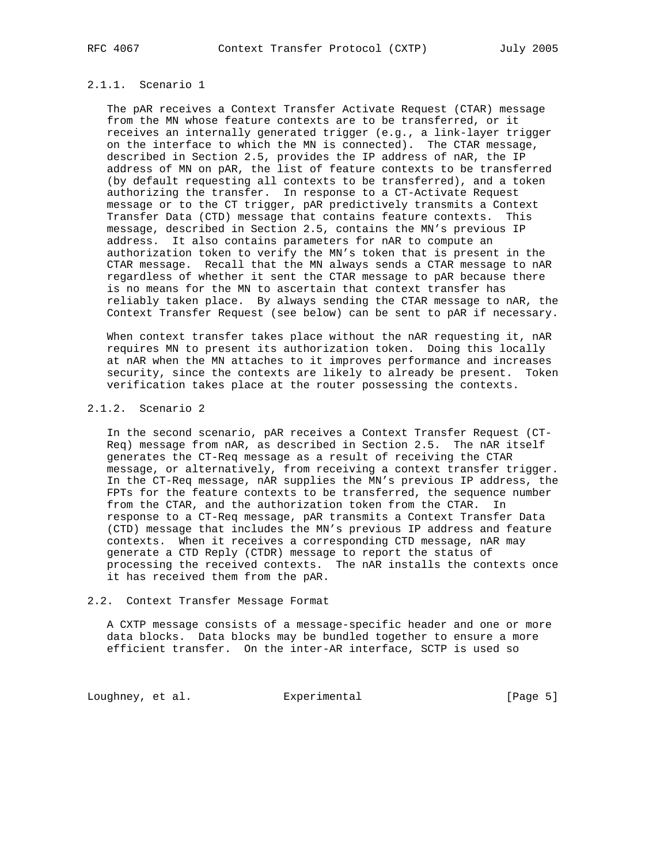## 2.1.1. Scenario 1

 The pAR receives a Context Transfer Activate Request (CTAR) message from the MN whose feature contexts are to be transferred, or it receives an internally generated trigger (e.g., a link-layer trigger on the interface to which the MN is connected). The CTAR message, described in Section 2.5, provides the IP address of nAR, the IP address of MN on pAR, the list of feature contexts to be transferred (by default requesting all contexts to be transferred), and a token authorizing the transfer. In response to a CT-Activate Request message or to the CT trigger, pAR predictively transmits a Context Transfer Data (CTD) message that contains feature contexts. This message, described in Section 2.5, contains the MN's previous IP address. It also contains parameters for nAR to compute an authorization token to verify the MN's token that is present in the CTAR message. Recall that the MN always sends a CTAR message to nAR regardless of whether it sent the CTAR message to pAR because there is no means for the MN to ascertain that context transfer has reliably taken place. By always sending the CTAR message to nAR, the Context Transfer Request (see below) can be sent to pAR if necessary.

When context transfer takes place without the nAR requesting it, nAR requires MN to present its authorization token. Doing this locally at nAR when the MN attaches to it improves performance and increases security, since the contexts are likely to already be present. Token verification takes place at the router possessing the contexts.

### 2.1.2. Scenario 2

 In the second scenario, pAR receives a Context Transfer Request (CT- Req) message from nAR, as described in Section 2.5. The nAR itself generates the CT-Req message as a result of receiving the CTAR message, or alternatively, from receiving a context transfer trigger. In the CT-Req message, nAR supplies the MN's previous IP address, the FPTs for the feature contexts to be transferred, the sequence number from the CTAR, and the authorization token from the CTAR. In response to a CT-Req message, pAR transmits a Context Transfer Data (CTD) message that includes the MN's previous IP address and feature contexts. When it receives a corresponding CTD message, nAR may generate a CTD Reply (CTDR) message to report the status of processing the received contexts. The nAR installs the contexts once it has received them from the pAR.

### 2.2. Context Transfer Message Format

 A CXTP message consists of a message-specific header and one or more data blocks. Data blocks may be bundled together to ensure a more efficient transfer. On the inter-AR interface, SCTP is used so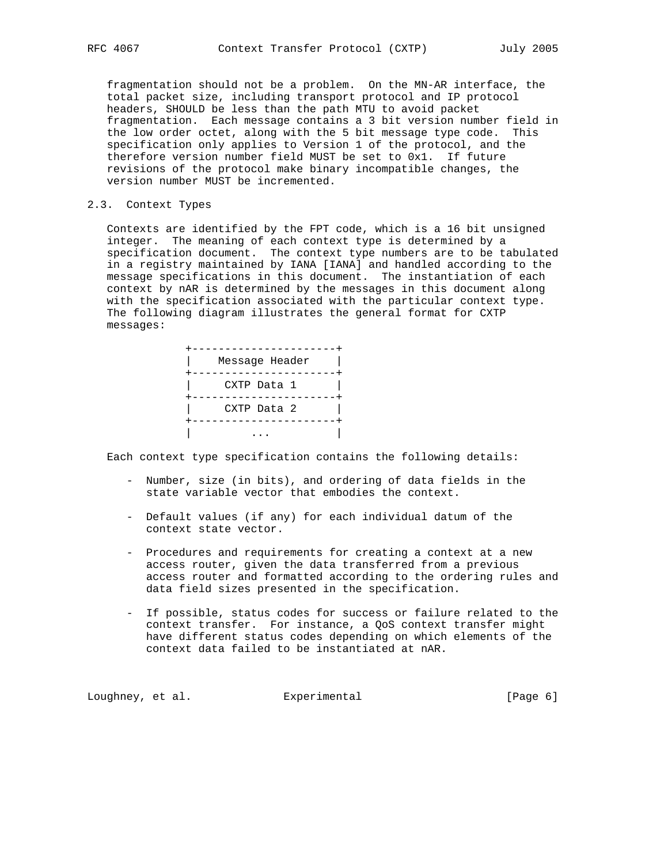fragmentation should not be a problem. On the MN-AR interface, the total packet size, including transport protocol and IP protocol headers, SHOULD be less than the path MTU to avoid packet fragmentation. Each message contains a 3 bit version number field in the low order octet, along with the 5 bit message type code. This specification only applies to Version 1 of the protocol, and the therefore version number field MUST be set to 0x1. If future revisions of the protocol make binary incompatible changes, the version number MUST be incremented.

### 2.3. Context Types

 Contexts are identified by the FPT code, which is a 16 bit unsigned integer. The meaning of each context type is determined by a specification document. The context type numbers are to be tabulated in a registry maintained by IANA [IANA] and handled according to the message specifications in this document. The instantiation of each context by nAR is determined by the messages in this document along with the specification associated with the particular context type. The following diagram illustrates the general format for CXTP messages:

| Message Header |
|----------------|
| CXTP Data 1    |
| CXTP Data 2    |
|                |

Each context type specification contains the following details:

- Number, size (in bits), and ordering of data fields in the state variable vector that embodies the context.
- Default values (if any) for each individual datum of the context state vector.
- Procedures and requirements for creating a context at a new access router, given the data transferred from a previous access router and formatted according to the ordering rules and data field sizes presented in the specification.
- If possible, status codes for success or failure related to the context transfer. For instance, a QoS context transfer might have different status codes depending on which elements of the context data failed to be instantiated at nAR.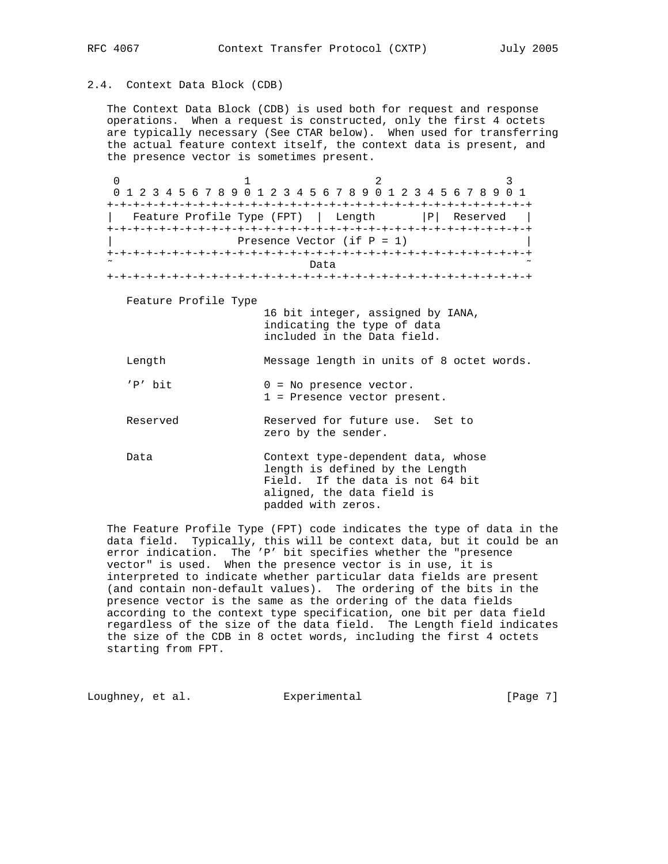# 2.4. Context Data Block (CDB)

 The Context Data Block (CDB) is used both for request and response operations. When a request is constructed, only the first 4 octets are typically necessary (See CTAR below). When used for transferring the actual feature context itself, the context data is present, and the presence vector is sometimes present.

0  $1$  2 3 0 1 2 3 4 5 6 7 8 9 0 1 2 3 4 5 6 7 8 9 0 1 2 3 4 5 6 7 8 9 0 1 +-+-+-+-+-+-+-+-+-+-+-+-+-+-+-+-+-+-+-+-+-+-+-+-+-+-+-+-+-+-+-+-+ | Feature Profile Type (FPT) | Length | | | Reserved | +-+-+-+-+-+-+-+-+-+-+-+-+-+-+-+-+-+-+-+-+-+-+-+-+-+-+-+-+-+-+-+-+ Presence Vector (if  $P = 1$ ) +-+-+-+-+-+-+-+-+-+-+-+-+-+-+-+-+-+-+-+-+-+-+-+-+-+-+-+-+-+-+-+-+ ˜ Data ˜ +-+-+-+-+-+-+-+-+-+-+-+-+-+-+-+-+-+-+-+-+-+-+-+-+-+-+-+-+-+-+-+-+ Feature Profile Type 16 bit integer, assigned by IANA, indicating the type of data included in the Data field. Length Message length in units of 8 octet words.  $'P'$  bit  $0 = No$  presence vector. 1 = Presence vector present. Reserved Reserved for future use. Set to zero by the sender.

Data Context type-dependent data, whose length is defined by the Length Field. If the data is not 64 bit aligned, the data field is padded with zeros.

 The Feature Profile Type (FPT) code indicates the type of data in the data field. Typically, this will be context data, but it could be an error indication. The 'P' bit specifies whether the "presence vector" is used. When the presence vector is in use, it is interpreted to indicate whether particular data fields are present (and contain non-default values). The ordering of the bits in the presence vector is the same as the ordering of the data fields according to the context type specification, one bit per data field regardless of the size of the data field. The Length field indicates the size of the CDB in 8 octet words, including the first 4 octets starting from FPT.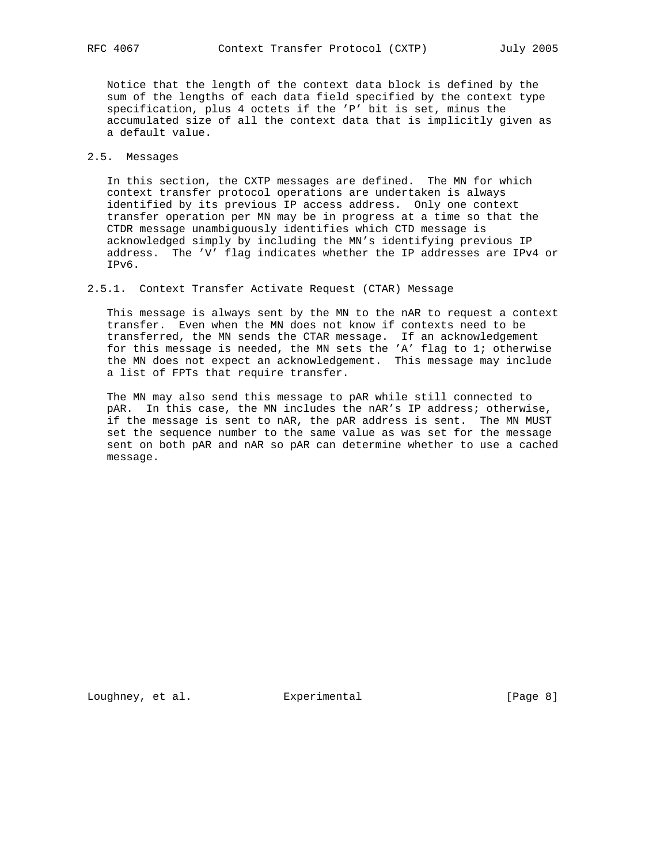Notice that the length of the context data block is defined by the sum of the lengths of each data field specified by the context type specification, plus 4 octets if the 'P' bit is set, minus the accumulated size of all the context data that is implicitly given as a default value.

## 2.5. Messages

 In this section, the CXTP messages are defined. The MN for which context transfer protocol operations are undertaken is always identified by its previous IP access address. Only one context transfer operation per MN may be in progress at a time so that the CTDR message unambiguously identifies which CTD message is acknowledged simply by including the MN's identifying previous IP address. The 'V' flag indicates whether the IP addresses are IPv4 or IPv6.

2.5.1. Context Transfer Activate Request (CTAR) Message

 This message is always sent by the MN to the nAR to request a context transfer. Even when the MN does not know if contexts need to be transferred, the MN sends the CTAR message. If an acknowledgement for this message is needed, the MN sets the 'A' flag to 1; otherwise the MN does not expect an acknowledgement. This message may include a list of FPTs that require transfer.

 The MN may also send this message to pAR while still connected to pAR. In this case, the MN includes the nAR's IP address; otherwise, if the message is sent to nAR, the pAR address is sent. The MN MUST set the sequence number to the same value as was set for the message sent on both pAR and nAR so pAR can determine whether to use a cached message.

Loughney, et al. Experimental Experimental [Page 8]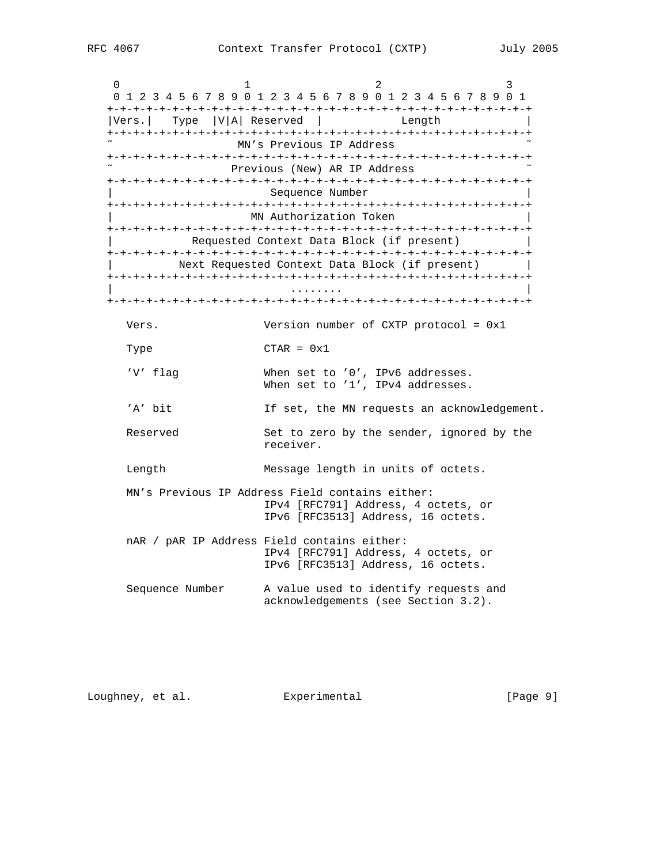| 0<br>ı<br>0 1 2 3 4 5 6 7 8 9 0 1 2 3 4 5 6 7 8 9 0 1 2 3 4 5 6 7 8 9 0 1 |                                                                           | 2      | 3 |
|---------------------------------------------------------------------------|---------------------------------------------------------------------------|--------|---|
| Vers.  Type  V A  Reserved                                                |                                                                           | Length |   |
|                                                                           | MN's Previous IP Address                                                  |        |   |
|                                                                           | Previous (New) AR IP Address                                              |        |   |
|                                                                           | Sequence Number                                                           |        |   |
|                                                                           | MN Authorization Token                                                    |        |   |
|                                                                           | Requested Context Data Block (if present)                                 |        |   |
|                                                                           | Next Requested Context Data Block (if present)                            |        |   |
|                                                                           |                                                                           |        |   |
| Vers.                                                                     | Version number of CXTP protocol = $0x1$                                   |        |   |
| Type                                                                      | $CTAR = 0x1$                                                              |        |   |
| 'V' flag                                                                  | When set to '0', IPv6 addresses.<br>When set to '1', IPv4 addresses.      |        |   |
| 'A' bit                                                                   | If set, the MN requests an acknowledgement.                               |        |   |
| Reserved                                                                  | Set to zero by the sender, ignored by the<br>receiver.                    |        |   |
| Length                                                                    | Message length in units of octets.                                        |        |   |
| MN's Previous IP Address Field contains either:                           | IPv4 [RFC791] Address, 4 octets, or<br>IPv6 [RFC3513] Address, 16 octets. |        |   |
| nAR / pAR IP Address Field contains either:                               | IPv4 [RFC791] Address, 4 octets, or<br>IPv6 [RFC3513] Address, 16 octets. |        |   |

 Sequence Number A value used to identify requests and acknowledgements (see Section 3.2).

Loughney, et al. Experimental Experimental [Page 9]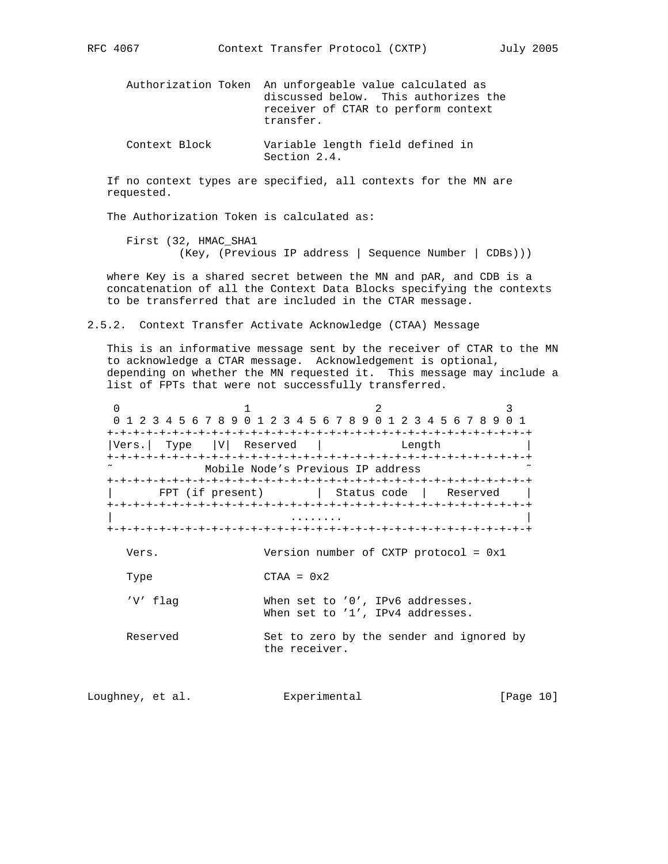Authorization Token An unforgeable value calculated as discussed below. This authorizes the receiver of CTAR to perform context transfer.

 Context Block Variable length field defined in Section 2.4.

 If no context types are specified, all contexts for the MN are requested.

The Authorization Token is calculated as:

 First (32, HMAC\_SHA1 (Key, (Previous IP address | Sequence Number | CDBs)))

 where Key is a shared secret between the MN and pAR, and CDB is a concatenation of all the Context Data Blocks specifying the contexts to be transferred that are included in the CTAR message.

2.5.2. Context Transfer Activate Acknowledge (CTAA) Message

 This is an informative message sent by the receiver of CTAR to the MN to acknowledge a CTAR message. Acknowledgement is optional, depending on whether the MN requested it. This message may include a list of FPTs that were not successfully transferred.

0  $1$  2 3 0 1 2 3 4 5 6 7 8 9 0 1 2 3 4 5 6 7 8 9 0 1 2 3 4 5 6 7 8 9 0 1 +-+-+-+-+-+-+-+-+-+-+-+-+-+-+-+-+-+-+-+-+-+-+-+-+-+-+-+-+-+-+-+-+ |Vers.| Type |V| Reserved | Length +-+-+-+-+-+-+-+-+-+-+-+-+-+-+-+-+-+-+-+-+-+-+-+-+-+-+-+-+-+-+-+-+ Mobile Node's Previous IP address +-+-+-+-+-+-+-+-+-+-+-+-+-+-+-+-+-+-+-+-+-+-+-+-+-+-+-+-+-+-+-+-+ FPT (if present) | Status code | Reserved | +-+-+-+-+-+-+-+-+-+-+-+-+-+-+-+-+-+-+-+-+-+-+-+-+-+-+-+-+-+-+-+-+ | ........ | +-+-+-+-+-+-+-+-+-+-+-+-+-+-+-+-+-+-+-+-+-+-+-+-+-+-+-+-+-+-+-+-+ Vers. Version number of CXTP protocol = 0x1  $Type$   $CTAA = 0x2$  'V' flag When set to '0', IPv6 addresses. When set to '1', IPv4 addresses. Reserved Set to zero by the sender and ignored by the receiver.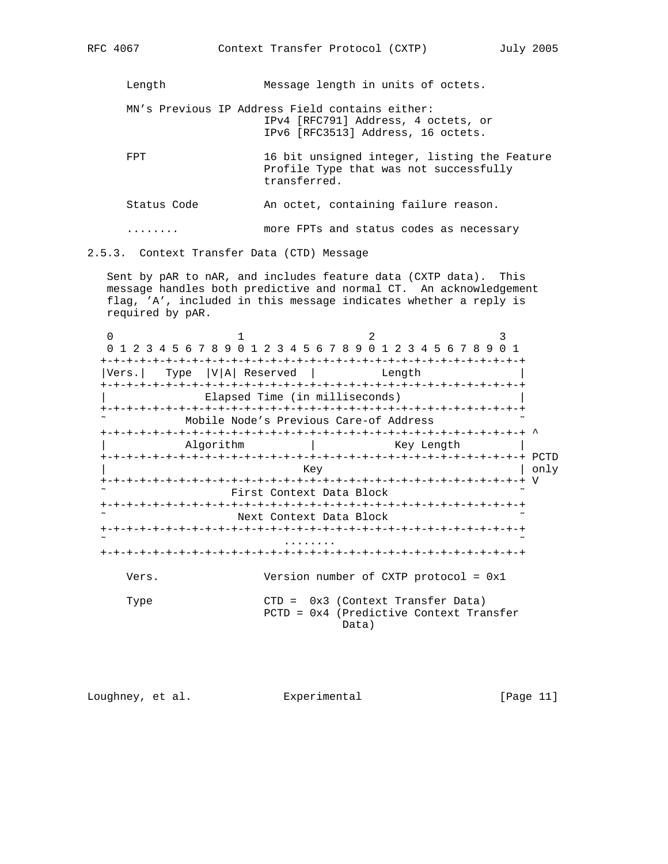Length Message length in units of octets.

 MN's Previous IP Address Field contains either: IPv4 [RFC791] Address, 4 octets, or IPv6 [RFC3513] Address, 16 octets.

FPT 16 bit unsigned integer, listing the Feature Profile Type that was not successfully transferred.

Status Code **An octet, containing failure reason.** 

........ more FPTs and status codes as necessary

2.5.3. Context Transfer Data (CTD) Message

 Sent by pAR to nAR, and includes feature data (CXTP data). This message handles both predictive and normal CT. An acknowledgement flag, 'A', included in this message indicates whether a reply is required by pAR.

0  $1$  2 3 0 1 2 3 4 5 6 7 8 9 0 1 2 3 4 5 6 7 8 9 0 1 2 3 4 5 6 7 8 9 0 1 +-+-+-+-+-+-+-+-+-+-+-+-+-+-+-+-+-+-+-+-+-+-+-+-+-+-+-+-+-+-+-+-+ |Vers.| Type |V|A| Reserved | Length | +-+-+-+-+-+-+-+-+-+-+-+-+-+-+-+-+-+-+-+-+-+-+-+-+-+-+-+-+-+-+-+-+ Elapsed Time (in milliseconds) +-+-+-+-+-+-+-+-+-+-+-+-+-+-+-+-+-+-+-+-+-+-+-+-+-+-+-+-+-+-+-+-+ Mobile Node's Previous Care-of Address +-+-+-+-+-+-+-+-+-+-+-+-+-+-+-+-+-+-+-+-+-+-+-+-+-+-+-+-+-+-+-+-+ ^ Algorithm  $\qquad$  | Key Length +-+-+-+-+-+-+-+-+-+-+-+-+-+-+-+-+-+-+-+-+-+-+-+-+-+-+-+-+-+-+-+-+ PCTD | external state of the state of the state of the state of the state of the state of the state of the state of the state of the state of the state of the state of the state of the state of the state of the state of the sta +-+-+-+-+-+-+-+-+-+-+-+-+-+-+-+-+-+-+-+-+-+-+-+-+-+-+-+-+-+-+-+-+ V First Context Data Block +-+-+-+-+-+-+-+-+-+-+-+-+-+-+-+-+-+-+-+-+-+-+-+-+-+-+-+-+-+-+-+-+ Next Context Data Block +-+-+-+-+-+-+-+-+-+-+-+-+-+-+-+-+-+-+-+-+-+-+-+-+-+-+-+-+-+-+-+-+ ˜ ........ ˜ +-+-+-+-+-+-+-+-+-+-+-+-+-+-+-+-+-+-+-+-+-+-+-+-+-+-+-+-+-+-+-+-+ Vers. Version number of CXTP protocol = 0x1 Type CTD = 0x3 (Context Transfer Data) PCTD = 0x4 (Predictive Context Transfer Data)

Loughney, et al. Experimental [Page 11]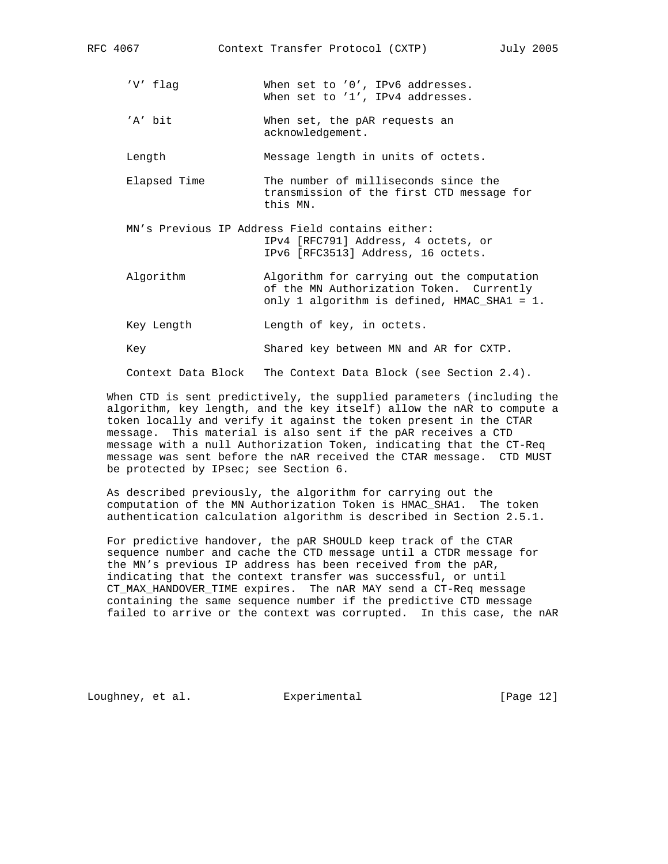- 'V' flag When set to '0', IPv6 addresses. When set to '1', IPv4 addresses.
- 'A' bit When set, the pAR requests an acknowledgement.

Length Message length in units of octets.

- Elapsed Time The number of milliseconds since the transmission of the first CTD message for this MN.
- MN's Previous IP Address Field contains either: IPv4 [RFC791] Address, 4 octets, or IPv6 [RFC3513] Address, 16 octets.
- Algorithm Algorithm for carrying out the computation of the MN Authorization Token. Currently only 1 algorithm is defined, HMAC\_SHA1 = 1.
- Key Length  $L$ ength of key, in octets.

Key Shared key between MN and AR for CXTP.

Context Data Block The Context Data Block (see Section 2.4).

 When CTD is sent predictively, the supplied parameters (including the algorithm, key length, and the key itself) allow the nAR to compute a token locally and verify it against the token present in the CTAR message. This material is also sent if the pAR receives a CTD message with a null Authorization Token, indicating that the CT-Req message was sent before the nAR received the CTAR message. CTD MUST be protected by IPsec; see Section 6.

 As described previously, the algorithm for carrying out the computation of the MN Authorization Token is HMAC\_SHA1. The token authentication calculation algorithm is described in Section 2.5.1.

 For predictive handover, the pAR SHOULD keep track of the CTAR sequence number and cache the CTD message until a CTDR message for the MN's previous IP address has been received from the pAR, indicating that the context transfer was successful, or until CT\_MAX\_HANDOVER\_TIME expires. The nAR MAY send a CT-Req message containing the same sequence number if the predictive CTD message failed to arrive or the context was corrupted. In this case, the nAR

Loughney, et al. Experimental [Page 12]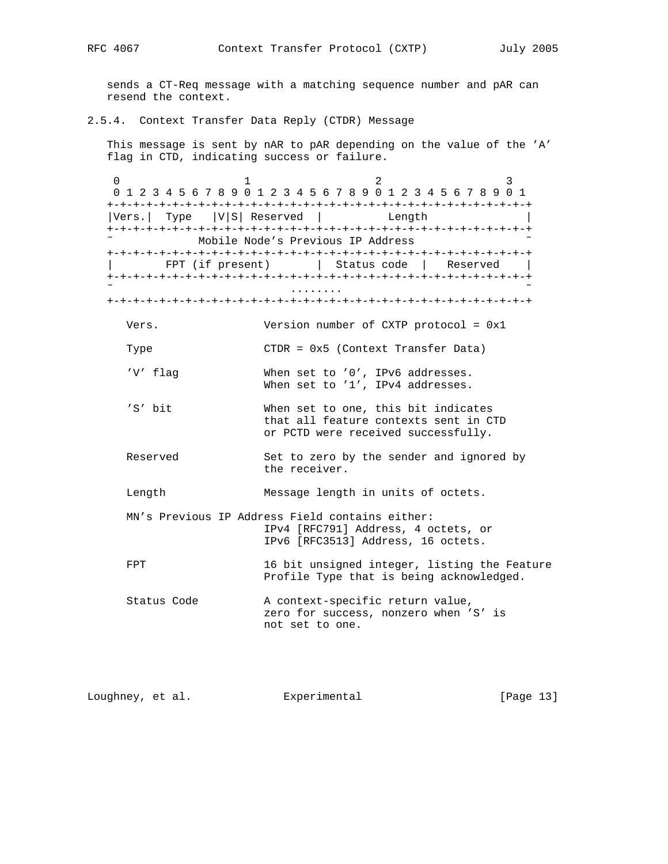sends a CT-Req message with a matching sequence number and pAR can resend the context.

## 2.5.4. Context Transfer Data Reply (CTDR) Message

 This message is sent by nAR to pAR depending on the value of the 'A' flag in CTD, indicating success or failure.

0  $1$  2 3 0 1 2 3 4 5 6 7 8 9 0 1 2 3 4 5 6 7 8 9 0 1 2 3 4 5 6 7 8 9 0 1 +-+-+-+-+-+-+-+-+-+-+-+-+-+-+-+-+-+-+-+-+-+-+-+-+-+-+-+-+-+-+-+-+ |Vers.| Type |V|S| Reserved | Length +-+-+-+-+-+-+-+-+-+-+-+-+-+-+-+-+-+-+-+-+-+-+-+-+-+-+-+-+-+-+-+-+ Mobile Node's Previous IP Address +-+-+-+-+-+-+-+-+-+-+-+-+-+-+-+-+-+-+-+-+-+-+-+-+-+-+-+-+-+-+-+-+ FPT (if present)  $|$  Status code | Reserved | +-+-+-+-+-+-+-+-+-+-+-+-+-+-+-+-+-+-+-+-+-+-+-+-+-+-+-+-+-+-+-+-+ ˜ ........ ˜ +-+-+-+-+-+-+-+-+-+-+-+-+-+-+-+-+-+-+-+-+-+-+-+-+-+-+-+-+-+-+-+-+ Vers. Version number of CXTP protocol = 0x1 Type CTDR = 0x5 (Context Transfer Data) 'V' flag When set to '0', IPv6 addresses. When set to '1', IPv4 addresses. 'S' bit When set to one, this bit indicates that all feature contexts sent in CTD or PCTD were received successfully. Reserved Set to zero by the sender and ignored by the receiver. Length Message length in units of octets. MN's Previous IP Address Field contains either: IPv4 [RFC791] Address, 4 octets, or IPv6 [RFC3513] Address, 16 octets. FPT 16 bit unsigned integer, listing the Feature Profile Type that is being acknowledged. Status Code A context-specific return value, zero for success, nonzero when 'S' is not set to one.

Loughney, et al. Experimental [Page 13]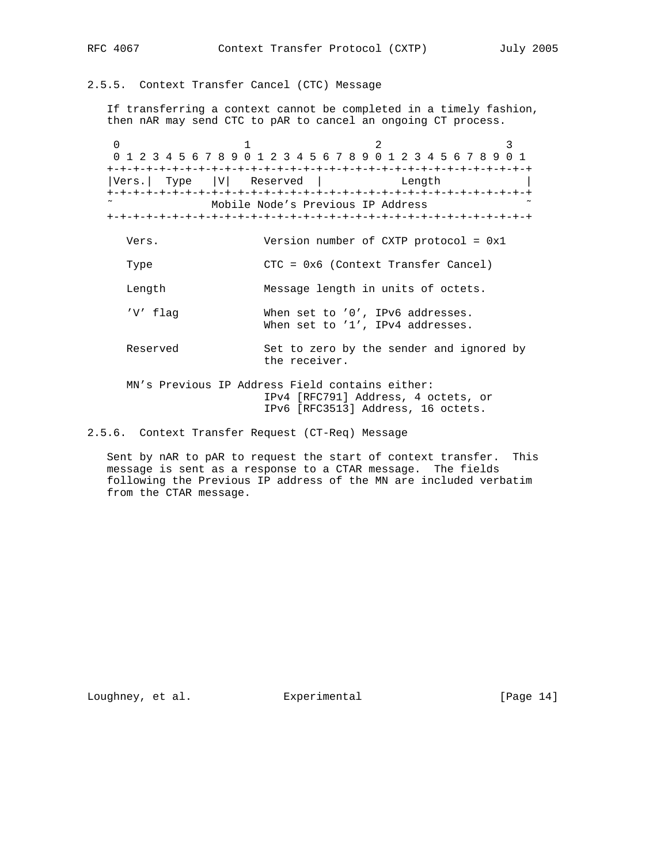2.5.5. Context Transfer Cancel (CTC) Message

 If transferring a context cannot be completed in a timely fashion, then nAR may send CTC to pAR to cancel an ongoing CT process.

0  $1$  2 3 0 1 2 3 4 5 6 7 8 9 0 1 2 3 4 5 6 7 8 9 0 1 2 3 4 5 6 7 8 9 0 1 +-+-+-+-+-+-+-+-+-+-+-+-+-+-+-+-+-+-+-+-+-+-+-+-+-+-+-+-+-+-+-+-+ |Vers.| Type |V| Reserved | Length +-+-+-+-+-+-+-+-+-+-+-+-+-+-+-+-+-+-+-+-+-+-+-+-+-+-+-+-+-+-+-+-+ Mobile Node's Previous IP Address +-+-+-+-+-+-+-+-+-+-+-+-+-+-+-+-+-+-+-+-+-+-+-+-+-+-+-+-+-+-+-+-+

- Vers. Version number of CXTP protocol = 0x1
- Type CTC = 0x6 (Context Transfer Cancel)

Length Message length in units of octets.

 'V' flag When set to '0', IPv6 addresses. When set to '1', IPv4 addresses.

- Reserved Set to zero by the sender and ignored by the receiver.
- MN's Previous IP Address Field contains either: IPv4 [RFC791] Address, 4 octets, or IPv6 [RFC3513] Address, 16 octets.

2.5.6. Context Transfer Request (CT-Req) Message

 Sent by nAR to pAR to request the start of context transfer. This message is sent as a response to a CTAR message. The fields following the Previous IP address of the MN are included verbatim from the CTAR message.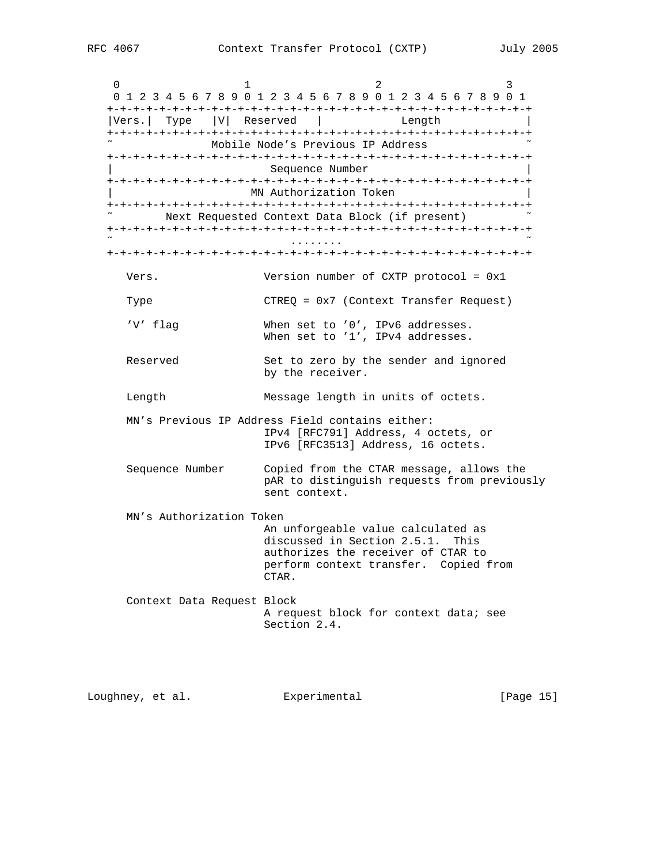| 0<br>ı                     | 2<br>3<br>0 1 2 3 4 5 6 7 8 9 0 1 2 3 4 5 6 7 8 9 0 1 2 3 4 5 6 7 8 9 0 1                                                                                         |
|----------------------------|-------------------------------------------------------------------------------------------------------------------------------------------------------------------|
| Vers. Type V Reserved      | Length                                                                                                                                                            |
|                            | Mobile Node's Previous IP Address                                                                                                                                 |
|                            | Sequence Number                                                                                                                                                   |
|                            | MN Authorization Token                                                                                                                                            |
|                            | Next Requested Context Data Block (if present)                                                                                                                    |
|                            |                                                                                                                                                                   |
|                            |                                                                                                                                                                   |
| Vers.                      | Version number of CXTP protocol = 0x1                                                                                                                             |
| Type                       | $CTREQ = 0x7$ (Context Transfer Request)                                                                                                                          |
| 'V' flag                   | When set to '0', IPv6 addresses.<br>When set to '1', IPv4 addresses.                                                                                              |
| Reserved                   | Set to zero by the sender and ignored<br>by the receiver.                                                                                                         |
| Length                     | Message length in units of octets.                                                                                                                                |
|                            | MN's Previous IP Address Field contains either:<br>IPv4 [RFC791] Address, 4 octets, or<br>IPv6 [RFC3513] Address, 16 octets.                                      |
| Sequence Number            | Copied from the CTAR message, allows the<br>pAR to distinguish requests from previously<br>sent context.                                                          |
| MN's Authorization Token   |                                                                                                                                                                   |
|                            | An unforgeable value calculated as<br>discussed in Section 2.5.1.<br>This<br>authorizes the receiver of CTAR to<br>perform context transfer. Copied from<br>CTAR. |
| Context Data Request Block | A request block for context data; see<br>Section 2.4.                                                                                                             |

Loughney, et al. Experimental [Page 15]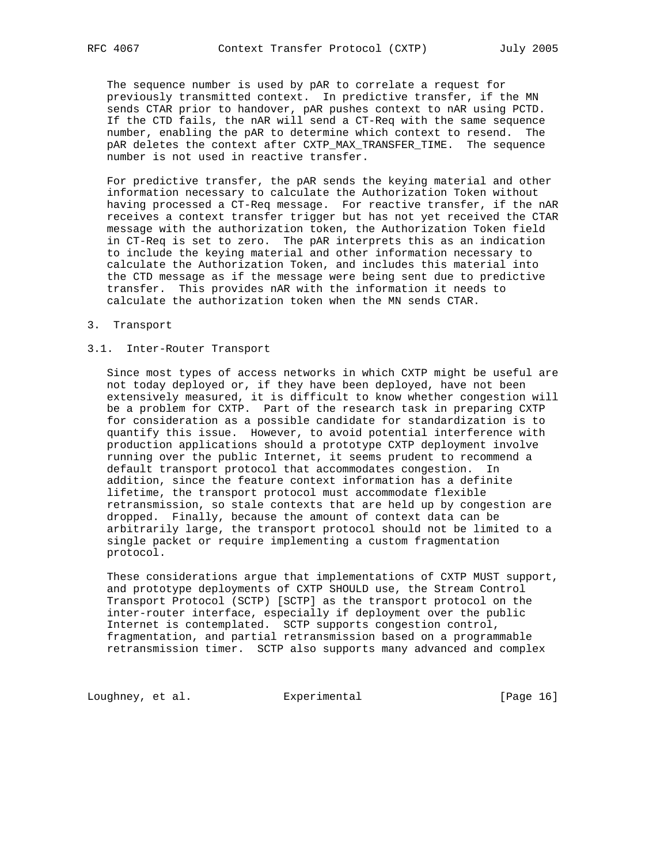The sequence number is used by pAR to correlate a request for previously transmitted context. In predictive transfer, if the MN sends CTAR prior to handover, pAR pushes context to nAR using PCTD. If the CTD fails, the nAR will send a CT-Req with the same sequence number, enabling the pAR to determine which context to resend. The pAR deletes the context after CXTP\_MAX\_TRANSFER\_TIME. The sequence number is not used in reactive transfer.

 For predictive transfer, the pAR sends the keying material and other information necessary to calculate the Authorization Token without having processed a CT-Req message. For reactive transfer, if the nAR receives a context transfer trigger but has not yet received the CTAR message with the authorization token, the Authorization Token field in CT-Req is set to zero. The pAR interprets this as an indication to include the keying material and other information necessary to calculate the Authorization Token, and includes this material into the CTD message as if the message were being sent due to predictive transfer. This provides nAR with the information it needs to calculate the authorization token when the MN sends CTAR.

3. Transport

### 3.1. Inter-Router Transport

 Since most types of access networks in which CXTP might be useful are not today deployed or, if they have been deployed, have not been extensively measured, it is difficult to know whether congestion will be a problem for CXTP. Part of the research task in preparing CXTP for consideration as a possible candidate for standardization is to quantify this issue. However, to avoid potential interference with production applications should a prototype CXTP deployment involve running over the public Internet, it seems prudent to recommend a default transport protocol that accommodates congestion. In addition, since the feature context information has a definite lifetime, the transport protocol must accommodate flexible retransmission, so stale contexts that are held up by congestion are dropped. Finally, because the amount of context data can be arbitrarily large, the transport protocol should not be limited to a single packet or require implementing a custom fragmentation protocol.

 These considerations argue that implementations of CXTP MUST support, and prototype deployments of CXTP SHOULD use, the Stream Control Transport Protocol (SCTP) [SCTP] as the transport protocol on the inter-router interface, especially if deployment over the public Internet is contemplated. SCTP supports congestion control, fragmentation, and partial retransmission based on a programmable retransmission timer. SCTP also supports many advanced and complex

Loughney, et al. Experimental [Page 16]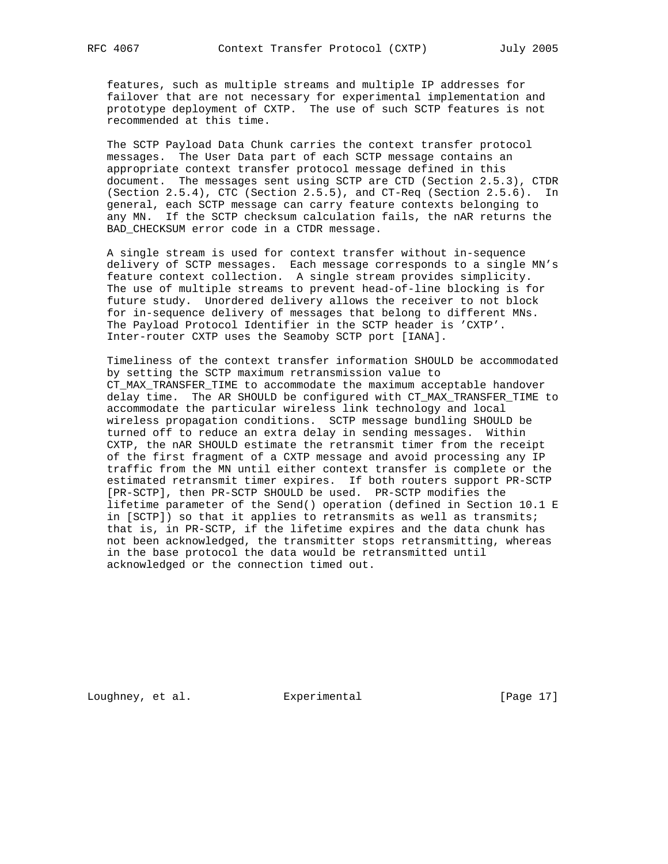features, such as multiple streams and multiple IP addresses for failover that are not necessary for experimental implementation and prototype deployment of CXTP. The use of such SCTP features is not recommended at this time.

 The SCTP Payload Data Chunk carries the context transfer protocol messages. The User Data part of each SCTP message contains an appropriate context transfer protocol message defined in this document. The messages sent using SCTP are CTD (Section 2.5.3), CTDR (Section 2.5.4), CTC (Section 2.5.5), and CT-Req (Section 2.5.6). In general, each SCTP message can carry feature contexts belonging to any MN. If the SCTP checksum calculation fails, the nAR returns the BAD\_CHECKSUM error code in a CTDR message.

 A single stream is used for context transfer without in-sequence delivery of SCTP messages. Each message corresponds to a single MN's feature context collection. A single stream provides simplicity. The use of multiple streams to prevent head-of-line blocking is for future study. Unordered delivery allows the receiver to not block for in-sequence delivery of messages that belong to different MNs. The Payload Protocol Identifier in the SCTP header is 'CXTP'. Inter-router CXTP uses the Seamoby SCTP port [IANA].

 Timeliness of the context transfer information SHOULD be accommodated by setting the SCTP maximum retransmission value to CT\_MAX\_TRANSFER\_TIME to accommodate the maximum acceptable handover delay time. The AR SHOULD be configured with CT\_MAX\_TRANSFER\_TIME to accommodate the particular wireless link technology and local wireless propagation conditions. SCTP message bundling SHOULD be turned off to reduce an extra delay in sending messages. Within CXTP, the nAR SHOULD estimate the retransmit timer from the receipt of the first fragment of a CXTP message and avoid processing any IP traffic from the MN until either context transfer is complete or the estimated retransmit timer expires. If both routers support PR-SCTP [PR-SCTP], then PR-SCTP SHOULD be used. PR-SCTP modifies the lifetime parameter of the Send() operation (defined in Section 10.1 E in [SCTP]) so that it applies to retransmits as well as transmits; that is, in PR-SCTP, if the lifetime expires and the data chunk has not been acknowledged, the transmitter stops retransmitting, whereas in the base protocol the data would be retransmitted until acknowledged or the connection timed out.

Loughney, et al. Experimental [Page 17]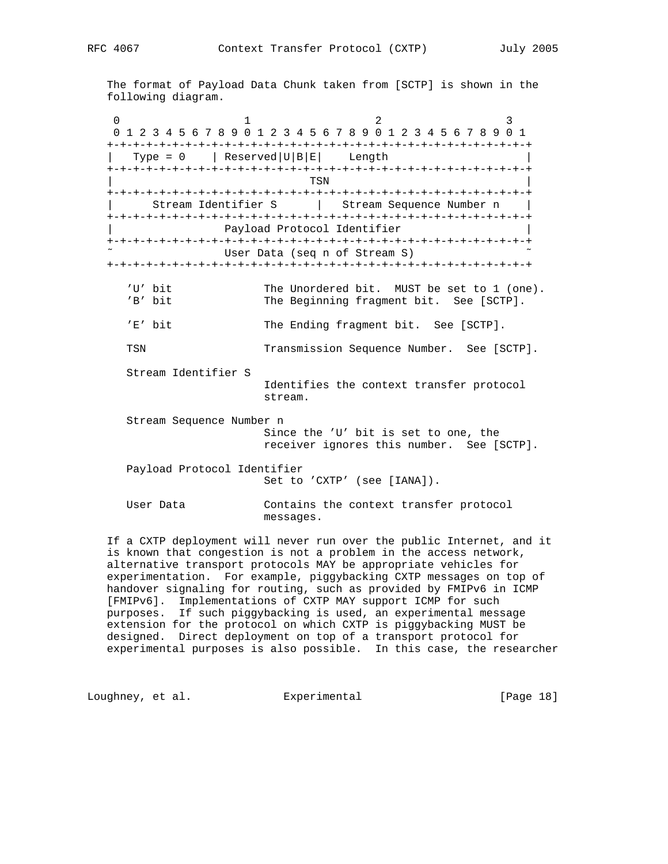The format of Payload Data Chunk taken from [SCTP] is shown in the following diagram.

0  $1$  2 3 0 1 2 3 4 5 6 7 8 9 0 1 2 3 4 5 6 7 8 9 0 1 2 3 4 5 6 7 8 9 0 1 +-+-+-+-+-+-+-+-+-+-+-+-+-+-+-+-+-+-+-+-+-+-+-+-+-+-+-+-+-+-+-+-+  $Type = 0$  | Reserved  $|U|B|E|$  Length +-+-+-+-+-+-+-+-+-+-+-+-+-+-+-+-+-+-+-+-+-+-+-+-+-+-+-+-+-+-+-+-+ | TSN | +-+-+-+-+-+-+-+-+-+-+-+-+-+-+-+-+-+-+-+-+-+-+-+-+-+-+-+-+-+-+-+-+ | Stream Identifier S | Stream Sequence Number n | +-+-+-+-+-+-+-+-+-+-+-+-+-+-+-+-+-+-+-+-+-+-+-+-+-+-+-+-+-+-+-+-+ Payload Protocol Identifier +-+-+-+-+-+-+-+-+-+-+-+-+-+-+-+-+-+-+-+-+-+-+-+-+-+-+-+-+-+-+-+-+ User Data (seq n of Stream S) +-+-+-+-+-+-+-+-+-+-+-+-+-+-+-+-+-+-+-+-+-+-+-+-+-+-+-+-+-+-+-+-+ 'U' bit The Unordered bit. MUST be set to 1 (one). 'B' bit The Beginning fragment bit. See [SCTP]. 'E' bit The Ending fragment bit. See [SCTP]. TSN Transmission Sequence Number. See [SCTP]. Stream Identifier S Identifies the context transfer protocol stream. Stream Sequence Number n Since the 'U' bit is set to one, the receiver ignores this number. See [SCTP]. Payload Protocol Identifier Set to 'CXTP' (see [IANA]). User Data Contains the context transfer protocol messages.

 If a CXTP deployment will never run over the public Internet, and it is known that congestion is not a problem in the access network, alternative transport protocols MAY be appropriate vehicles for experimentation. For example, piggybacking CXTP messages on top of handover signaling for routing, such as provided by FMIPv6 in ICMP [FMIPv6]. Implementations of CXTP MAY support ICMP for such purposes. If such piggybacking is used, an experimental message extension for the protocol on which CXTP is piggybacking MUST be designed. Direct deployment on top of a transport protocol for experimental purposes is also possible. In this case, the researcher

Loughney, et al. **Experimental** [Page 18]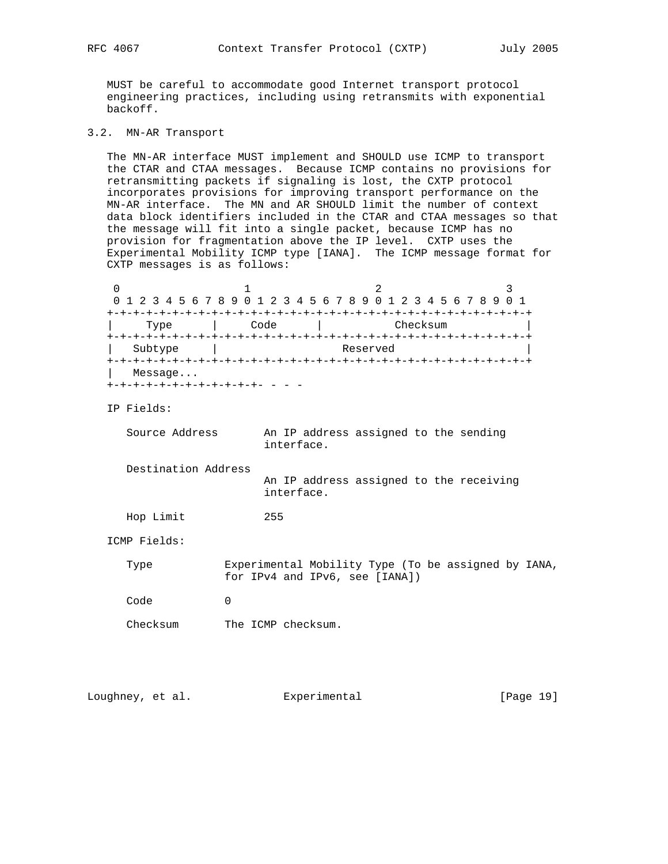MUST be careful to accommodate good Internet transport protocol engineering practices, including using retransmits with exponential backoff.

3.2. MN-AR Transport

 The MN-AR interface MUST implement and SHOULD use ICMP to transport the CTAR and CTAA messages. Because ICMP contains no provisions for retransmitting packets if signaling is lost, the CXTP protocol incorporates provisions for improving transport performance on the MN-AR interface. The MN and AR SHOULD limit the number of context data block identifiers included in the CTAR and CTAA messages so that the message will fit into a single packet, because ICMP has no provision for fragmentation above the IP level. CXTP uses the Experimental Mobility ICMP type [IANA]. The ICMP message format for CXTP messages is as follows:

|         |      | 0 1 2 3 4 5 6 7 8 9 0 1 2 3 4 5 6 7 8 9 0 1 2 3 4 5 6 7 8 9 0 1 |  |
|---------|------|-----------------------------------------------------------------|--|
|         |      |                                                                 |  |
| Type    | Code | Checksum                                                        |  |
|         |      |                                                                 |  |
| Subtype |      | Reserved                                                        |  |
|         |      |                                                                 |  |
| Message |      |                                                                 |  |
|         |      |                                                                 |  |

IP Fields:

| Source Address      | An IP address assigned to the sending<br>interface.                                          |
|---------------------|----------------------------------------------------------------------------------------------|
| Destination Address | An IP address assigned to the receiving<br>interface.                                        |
| Hop Limit           | 255                                                                                          |
| ICMP Fields:        |                                                                                              |
| Type                | Experimental Mobility Type (To be assigned by IANA,<br>for $IPv4$ and $IPv6$ , see $[IANA])$ |
| Code                |                                                                                              |

Checksum The ICMP checksum.

| Loughney, et al. | Experimental | [Page 19] |  |
|------------------|--------------|-----------|--|
|                  |              |           |  |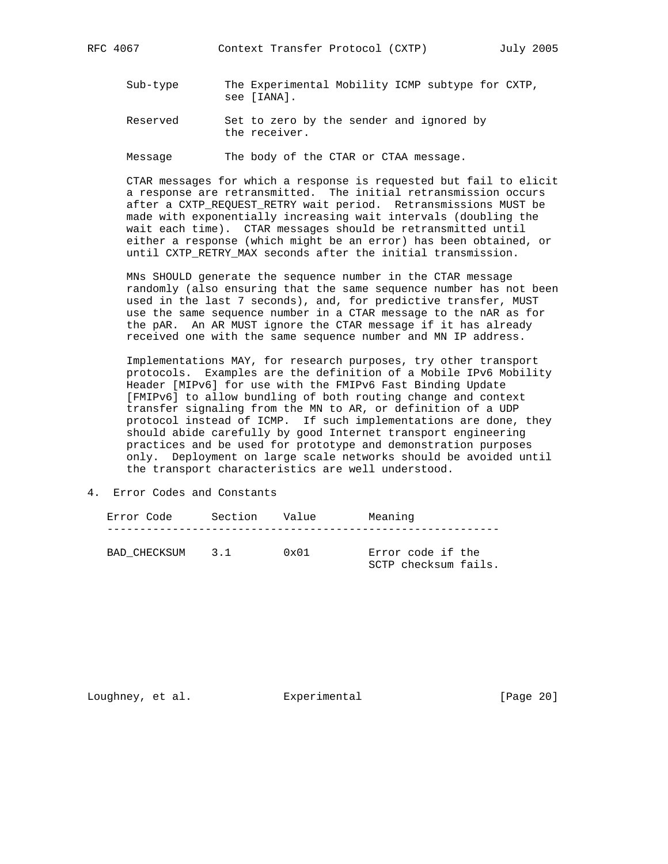- Sub-type The Experimental Mobility ICMP subtype for CXTP, see [IANA].
- Reserved Set to zero by the sender and ignored by the receiver.

Message The body of the CTAR or CTAA message.

 CTAR messages for which a response is requested but fail to elicit a response are retransmitted. The initial retransmission occurs after a CXTP\_REQUEST\_RETRY wait period. Retransmissions MUST be made with exponentially increasing wait intervals (doubling the wait each time). CTAR messages should be retransmitted until either a response (which might be an error) has been obtained, or until CXTP\_RETRY\_MAX seconds after the initial transmission.

 MNs SHOULD generate the sequence number in the CTAR message randomly (also ensuring that the same sequence number has not been used in the last 7 seconds), and, for predictive transfer, MUST use the same sequence number in a CTAR message to the nAR as for the pAR. An AR MUST ignore the CTAR message if it has already received one with the same sequence number and MN IP address.

 Implementations MAY, for research purposes, try other transport protocols. Examples are the definition of a Mobile IPv6 Mobility Header [MIPv6] for use with the FMIPv6 Fast Binding Update [FMIPv6] to allow bundling of both routing change and context transfer signaling from the MN to AR, or definition of a UDP protocol instead of ICMP. If such implementations are done, they should abide carefully by good Internet transport engineering practices and be used for prototype and demonstration purposes only. Deployment on large scale networks should be avoided until the transport characteristics are well understood.

4. Error Codes and Constants

| Error Code   | Section Value      |               | Meaning                                   |
|--------------|--------------------|---------------|-------------------------------------------|
| BAD CHECKSUM | $\overline{3}$ . 1 | $0 \times 01$ | Error code if the<br>SCTP checksum fails. |

Loughney, et al. Experimental [Page 20]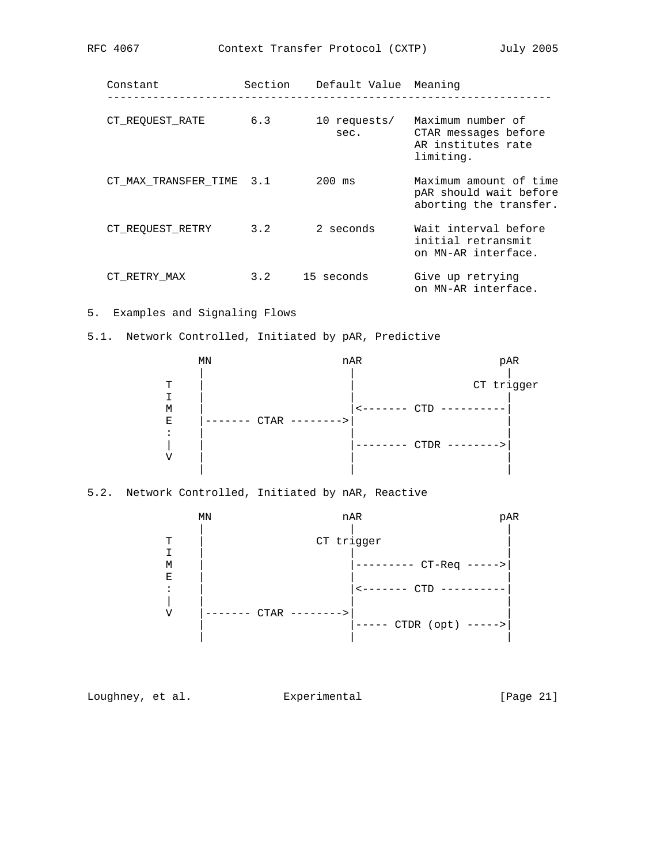| Constant                 | Section | Default Value Meaning |                                                                              |
|--------------------------|---------|-----------------------|------------------------------------------------------------------------------|
| CT REOUEST RATE          | 6.3     | 10 requests/<br>sec.  | Maximum number of<br>CTAR messages before<br>AR institutes rate<br>limiting. |
| CT MAX TRANSFER TIME 3.1 |         | $200$ ms              | Maximum amount of time<br>pAR should wait before<br>aborting the transfer.   |
| CT REOUEST RETRY         | 3.2     | 2 seconds             | Wait interval before<br>initial retransmit<br>on MN-AR interface.            |
| CT RETRY MAX             | 3.2     | 15 seconds            | Give up retrying<br>on MN-AR interface.                                      |

5. Examples and Signaling Flows

5.1. Network Controlled, Initiated by pAR, Predictive



# 5.2. Network Controlled, Initiated by nAR, Reactive

 MN nAR pAR | | | T | CT trigger  $\mathbf{I}$  is a set of  $\mathbf{I}$  is a set of  $\mathbf{I}$  is a set of  $\mathbf{I}$  is a set of  $\mathbf{I}$ M | |--------- CT-Req -----><br>|E E is a set of the set of the set of the set of the set of the set of the set of the set of the set of the set of the set of the set of the set of the set of the set of the set of the set of the set of the set of the set o  $\left| \begin{array}{ccc} \cdot & \cdot & \cdot \\ \cdot & \cdot & \cdot \\ \end{array} \right|$   $\left| \begin{array}{ccc} \cdot & \cdot & \cdot \\ \cdot & \cdot & \cdot \\ \cdot & \cdot & \cdot \end{array} \right|$  | | | | V |------- CTAR -------->| | | |----- CTDR (opt) ----->| | | |

Loughney, et al. Experimental [Page 21]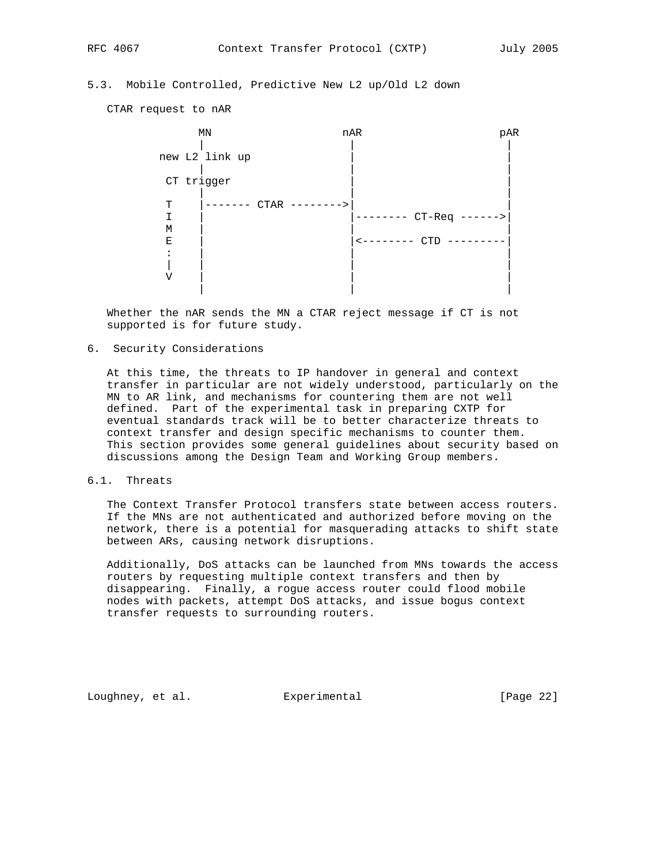# 5.3. Mobile Controlled, Predictive New L2 up/Old L2 down

CTAR request to nAR



 Whether the nAR sends the MN a CTAR reject message if CT is not supported is for future study.

### 6. Security Considerations

 At this time, the threats to IP handover in general and context transfer in particular are not widely understood, particularly on the MN to AR link, and mechanisms for countering them are not well defined. Part of the experimental task in preparing CXTP for eventual standards track will be to better characterize threats to context transfer and design specific mechanisms to counter them. This section provides some general guidelines about security based on discussions among the Design Team and Working Group members.

### 6.1. Threats

 The Context Transfer Protocol transfers state between access routers. If the MNs are not authenticated and authorized before moving on the network, there is a potential for masquerading attacks to shift state between ARs, causing network disruptions.

 Additionally, DoS attacks can be launched from MNs towards the access routers by requesting multiple context transfers and then by disappearing. Finally, a rogue access router could flood mobile nodes with packets, attempt DoS attacks, and issue bogus context transfer requests to surrounding routers.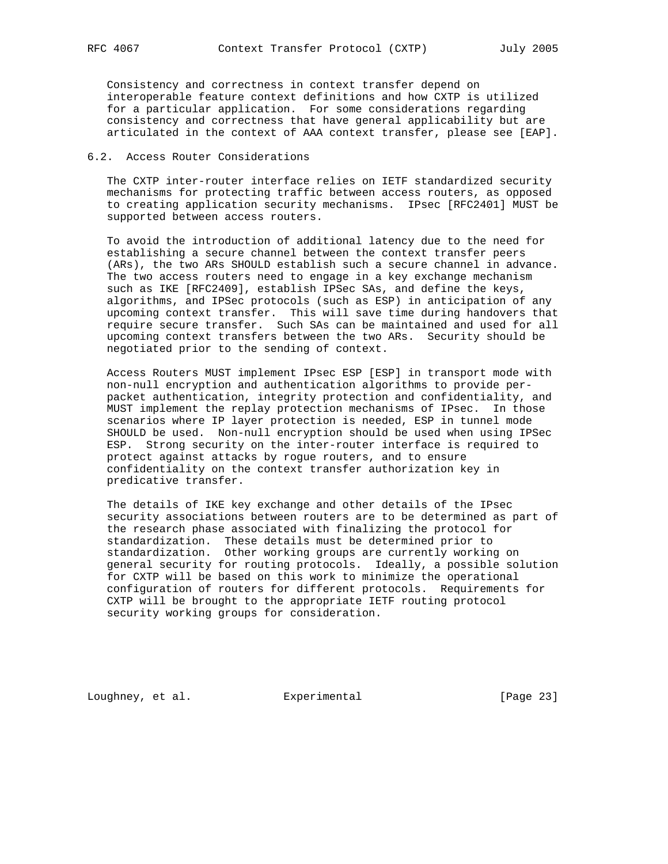Consistency and correctness in context transfer depend on interoperable feature context definitions and how CXTP is utilized for a particular application. For some considerations regarding consistency and correctness that have general applicability but are articulated in the context of AAA context transfer, please see [EAP].

### 6.2. Access Router Considerations

 The CXTP inter-router interface relies on IETF standardized security mechanisms for protecting traffic between access routers, as opposed to creating application security mechanisms. IPsec [RFC2401] MUST be supported between access routers.

 To avoid the introduction of additional latency due to the need for establishing a secure channel between the context transfer peers (ARs), the two ARs SHOULD establish such a secure channel in advance. The two access routers need to engage in a key exchange mechanism such as IKE [RFC2409], establish IPSec SAs, and define the keys, algorithms, and IPSec protocols (such as ESP) in anticipation of any upcoming context transfer. This will save time during handovers that require secure transfer. Such SAs can be maintained and used for all upcoming context transfers between the two ARs. Security should be negotiated prior to the sending of context.

 Access Routers MUST implement IPsec ESP [ESP] in transport mode with non-null encryption and authentication algorithms to provide per packet authentication, integrity protection and confidentiality, and MUST implement the replay protection mechanisms of IPsec. In those scenarios where IP layer protection is needed, ESP in tunnel mode SHOULD be used. Non-null encryption should be used when using IPSec ESP. Strong security on the inter-router interface is required to protect against attacks by rogue routers, and to ensure confidentiality on the context transfer authorization key in predicative transfer.

 The details of IKE key exchange and other details of the IPsec security associations between routers are to be determined as part of the research phase associated with finalizing the protocol for standardization. These details must be determined prior to standardization. Other working groups are currently working on general security for routing protocols. Ideally, a possible solution for CXTP will be based on this work to minimize the operational configuration of routers for different protocols. Requirements for CXTP will be brought to the appropriate IETF routing protocol security working groups for consideration.

Loughney, et al. Experimental [Page 23]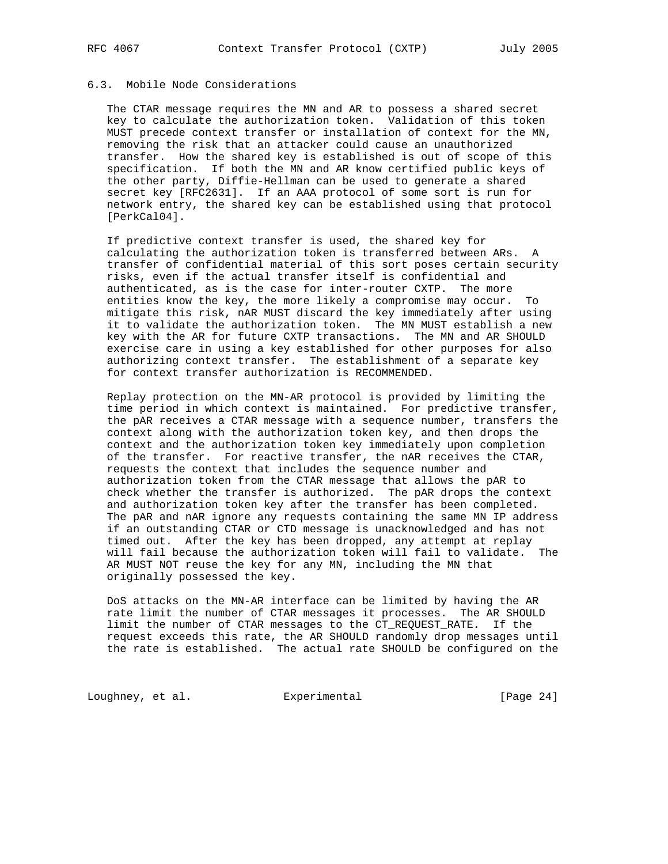# 6.3. Mobile Node Considerations

 The CTAR message requires the MN and AR to possess a shared secret key to calculate the authorization token. Validation of this token MUST precede context transfer or installation of context for the MN, removing the risk that an attacker could cause an unauthorized transfer. How the shared key is established is out of scope of this specification. If both the MN and AR know certified public keys of the other party, Diffie-Hellman can be used to generate a shared secret key [RFC2631]. If an AAA protocol of some sort is run for network entry, the shared key can be established using that protocol [PerkCal04].

 If predictive context transfer is used, the shared key for calculating the authorization token is transferred between ARs. A transfer of confidential material of this sort poses certain security risks, even if the actual transfer itself is confidential and authenticated, as is the case for inter-router CXTP. The more entities know the key, the more likely a compromise may occur. To mitigate this risk, nAR MUST discard the key immediately after using it to validate the authorization token. The MN MUST establish a new key with the AR for future CXTP transactions. The MN and AR SHOULD exercise care in using a key established for other purposes for also authorizing context transfer. The establishment of a separate key for context transfer authorization is RECOMMENDED.

 Replay protection on the MN-AR protocol is provided by limiting the time period in which context is maintained. For predictive transfer, the pAR receives a CTAR message with a sequence number, transfers the context along with the authorization token key, and then drops the context and the authorization token key immediately upon completion of the transfer. For reactive transfer, the nAR receives the CTAR, requests the context that includes the sequence number and authorization token from the CTAR message that allows the pAR to check whether the transfer is authorized. The pAR drops the context and authorization token key after the transfer has been completed. The pAR and nAR ignore any requests containing the same MN IP address if an outstanding CTAR or CTD message is unacknowledged and has not timed out. After the key has been dropped, any attempt at replay will fail because the authorization token will fail to validate. The AR MUST NOT reuse the key for any MN, including the MN that originally possessed the key.

 DoS attacks on the MN-AR interface can be limited by having the AR rate limit the number of CTAR messages it processes. The AR SHOULD limit the number of CTAR messages to the CT\_REQUEST\_RATE. If the request exceeds this rate, the AR SHOULD randomly drop messages until the rate is established. The actual rate SHOULD be configured on the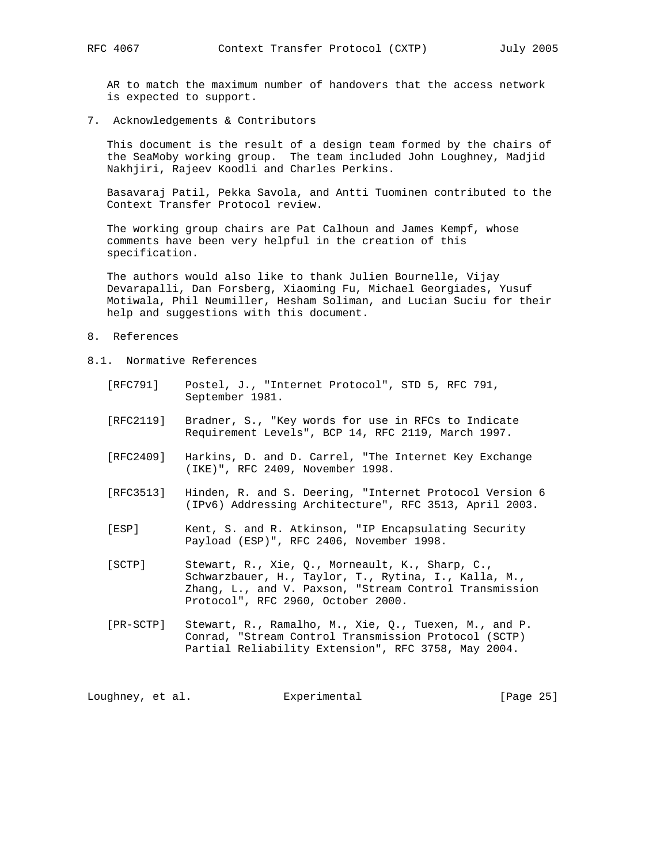AR to match the maximum number of handovers that the access network is expected to support.

7. Acknowledgements & Contributors

 This document is the result of a design team formed by the chairs of the SeaMoby working group. The team included John Loughney, Madjid Nakhjiri, Rajeev Koodli and Charles Perkins.

 Basavaraj Patil, Pekka Savola, and Antti Tuominen contributed to the Context Transfer Protocol review.

 The working group chairs are Pat Calhoun and James Kempf, whose comments have been very helpful in the creation of this specification.

 The authors would also like to thank Julien Bournelle, Vijay Devarapalli, Dan Forsberg, Xiaoming Fu, Michael Georgiades, Yusuf Motiwala, Phil Neumiller, Hesham Soliman, and Lucian Suciu for their help and suggestions with this document.

- 8. References
- 8.1. Normative References
	- [RFC791] Postel, J., "Internet Protocol", STD 5, RFC 791, September 1981.
	- [RFC2119] Bradner, S., "Key words for use in RFCs to Indicate Requirement Levels", BCP 14, RFC 2119, March 1997.
	- [RFC2409] Harkins, D. and D. Carrel, "The Internet Key Exchange (IKE)", RFC 2409, November 1998.
	- [RFC3513] Hinden, R. and S. Deering, "Internet Protocol Version 6 (IPv6) Addressing Architecture", RFC 3513, April 2003.
	- [ESP] Kent, S. and R. Atkinson, "IP Encapsulating Security Payload (ESP)", RFC 2406, November 1998.
	- [SCTP] Stewart, R., Xie, Q., Morneault, K., Sharp, C., Schwarzbauer, H., Taylor, T., Rytina, I., Kalla, M., Zhang, L., and V. Paxson, "Stream Control Transmission Protocol", RFC 2960, October 2000.
	- [PR-SCTP] Stewart, R., Ramalho, M., Xie, Q., Tuexen, M., and P. Conrad, "Stream Control Transmission Protocol (SCTP) Partial Reliability Extension", RFC 3758, May 2004.

Loughney, et al. Experimental [Page 25]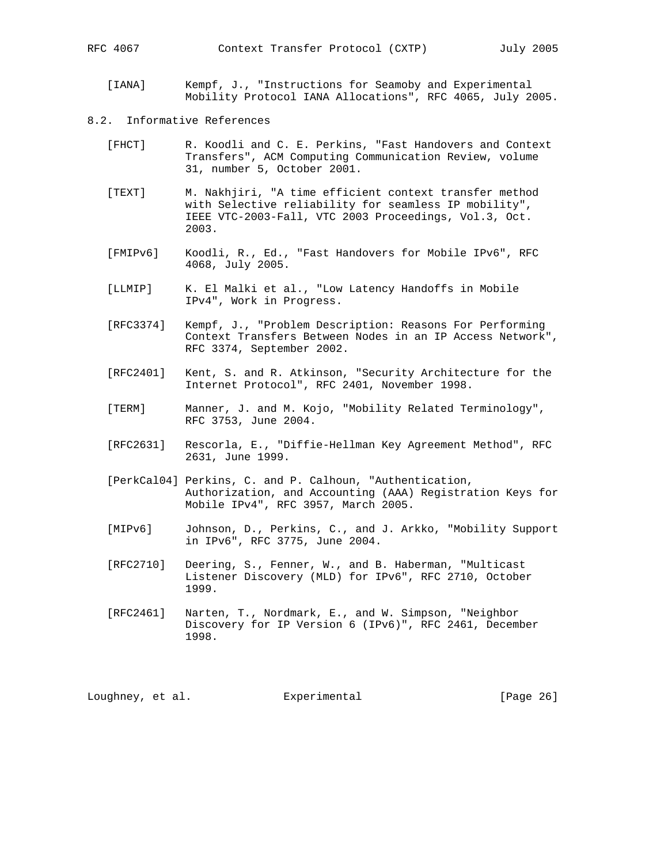RFC 4067 Context Transfer Protocol (CXTP) July 2005

 [IANA] Kempf, J., "Instructions for Seamoby and Experimental Mobility Protocol IANA Allocations", RFC 4065, July 2005.

### 8.2. Informative References

- [FHCT] R. Koodli and C. E. Perkins, "Fast Handovers and Context Transfers", ACM Computing Communication Review, volume 31, number 5, October 2001.
- [TEXT] M. Nakhjiri, "A time efficient context transfer method with Selective reliability for seamless IP mobility", IEEE VTC-2003-Fall, VTC 2003 Proceedings, Vol.3, Oct. 2003.
- [FMIPv6] Koodli, R., Ed., "Fast Handovers for Mobile IPv6", RFC 4068, July 2005.
- [LLMIP] K. El Malki et al., "Low Latency Handoffs in Mobile IPv4", Work in Progress.
- [RFC3374] Kempf, J., "Problem Description: Reasons For Performing Context Transfers Between Nodes in an IP Access Network", RFC 3374, September 2002.
- [RFC2401] Kent, S. and R. Atkinson, "Security Architecture for the Internet Protocol", RFC 2401, November 1998.
- [TERM] Manner, J. and M. Kojo, "Mobility Related Terminology", RFC 3753, June 2004.
- [RFC2631] Rescorla, E., "Diffie-Hellman Key Agreement Method", RFC 2631, June 1999.
- [PerkCal04] Perkins, C. and P. Calhoun, "Authentication, Authorization, and Accounting (AAA) Registration Keys for Mobile IPv4", RFC 3957, March 2005.
- [MIPv6] Johnson, D., Perkins, C., and J. Arkko, "Mobility Support in IPv6", RFC 3775, June 2004.
- [RFC2710] Deering, S., Fenner, W., and B. Haberman, "Multicast Listener Discovery (MLD) for IPv6", RFC 2710, October 1999.
- [RFC2461] Narten, T., Nordmark, E., and W. Simpson, "Neighbor Discovery for IP Version 6 (IPv6)", RFC 2461, December 1998.

Loughney, et al. Experimental [Page 26]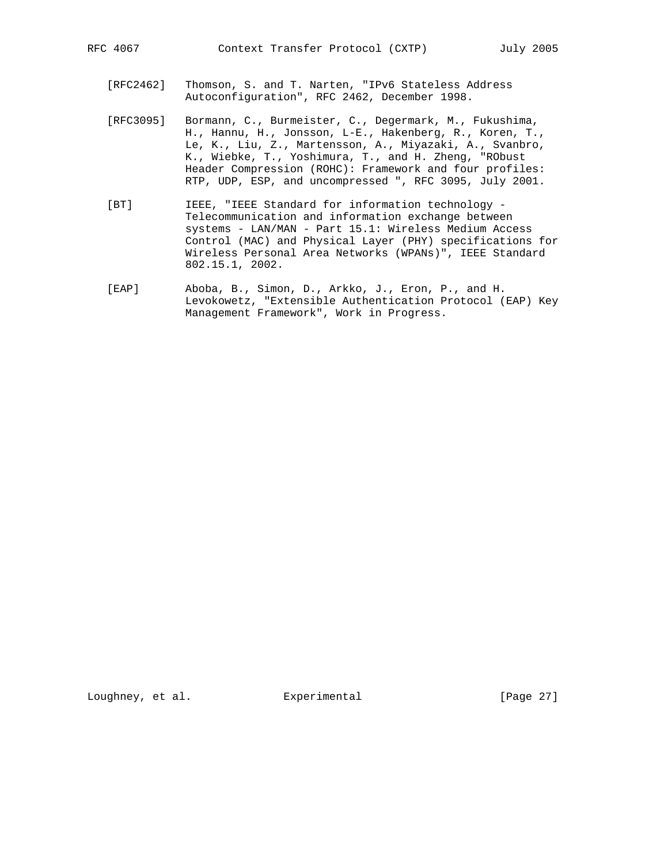- [RFC2462] Thomson, S. and T. Narten, "IPv6 Stateless Address Autoconfiguration", RFC 2462, December 1998.
- [RFC3095] Bormann, C., Burmeister, C., Degermark, M., Fukushima, H., Hannu, H., Jonsson, L-E., Hakenberg, R., Koren, T., Le, K., Liu, Z., Martensson, A., Miyazaki, A., Svanbro, K., Wiebke, T., Yoshimura, T., and H. Zheng, "RObust Header Compression (ROHC): Framework and four profiles: RTP, UDP, ESP, and uncompressed ", RFC 3095, July 2001.
- [BT] IEEE, "IEEE Standard for information technology - Telecommunication and information exchange between systems - LAN/MAN - Part 15.1: Wireless Medium Access Control (MAC) and Physical Layer (PHY) specifications for Wireless Personal Area Networks (WPANs)", IEEE Standard 802.15.1, 2002.
- [EAP] Aboba, B., Simon, D., Arkko, J., Eron, P., and H. Levokowetz, "Extensible Authentication Protocol (EAP) Key Management Framework", Work in Progress.

Loughney, et al. Experimental [Page 27]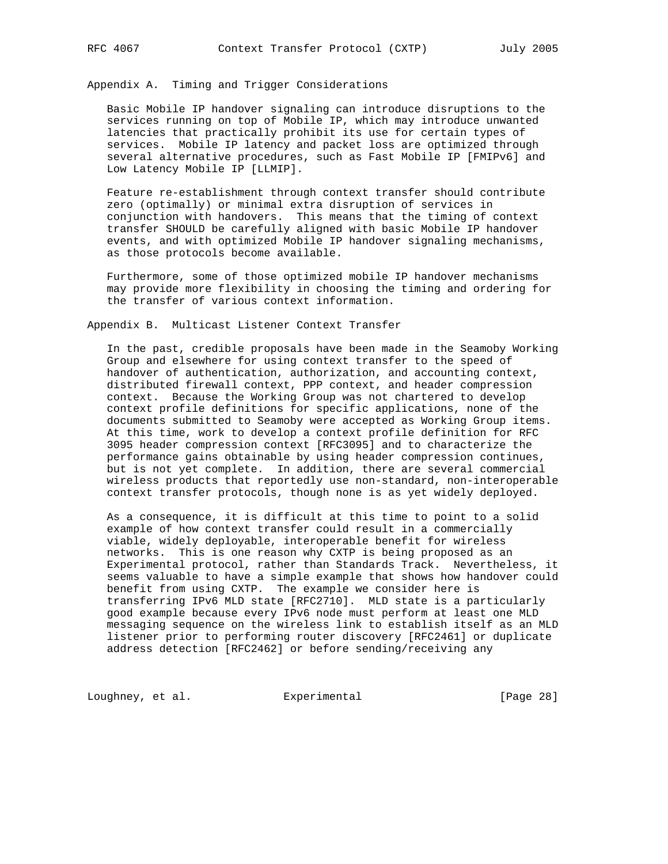Appendix A. Timing and Trigger Considerations

 Basic Mobile IP handover signaling can introduce disruptions to the services running on top of Mobile IP, which may introduce unwanted latencies that practically prohibit its use for certain types of services. Mobile IP latency and packet loss are optimized through several alternative procedures, such as Fast Mobile IP [FMIPv6] and Low Latency Mobile IP [LLMIP].

 Feature re-establishment through context transfer should contribute zero (optimally) or minimal extra disruption of services in conjunction with handovers. This means that the timing of context transfer SHOULD be carefully aligned with basic Mobile IP handover events, and with optimized Mobile IP handover signaling mechanisms, as those protocols become available.

 Furthermore, some of those optimized mobile IP handover mechanisms may provide more flexibility in choosing the timing and ordering for the transfer of various context information.

Appendix B. Multicast Listener Context Transfer

 In the past, credible proposals have been made in the Seamoby Working Group and elsewhere for using context transfer to the speed of handover of authentication, authorization, and accounting context, distributed firewall context, PPP context, and header compression context. Because the Working Group was not chartered to develop context profile definitions for specific applications, none of the documents submitted to Seamoby were accepted as Working Group items. At this time, work to develop a context profile definition for RFC 3095 header compression context [RFC3095] and to characterize the performance gains obtainable by using header compression continues, but is not yet complete. In addition, there are several commercial wireless products that reportedly use non-standard, non-interoperable context transfer protocols, though none is as yet widely deployed.

 As a consequence, it is difficult at this time to point to a solid example of how context transfer could result in a commercially viable, widely deployable, interoperable benefit for wireless networks. This is one reason why CXTP is being proposed as an Experimental protocol, rather than Standards Track. Nevertheless, it seems valuable to have a simple example that shows how handover could benefit from using CXTP. The example we consider here is transferring IPv6 MLD state [RFC2710]. MLD state is a particularly good example because every IPv6 node must perform at least one MLD messaging sequence on the wireless link to establish itself as an MLD listener prior to performing router discovery [RFC2461] or duplicate address detection [RFC2462] or before sending/receiving any

Loughney, et al. Experimental [Page 28]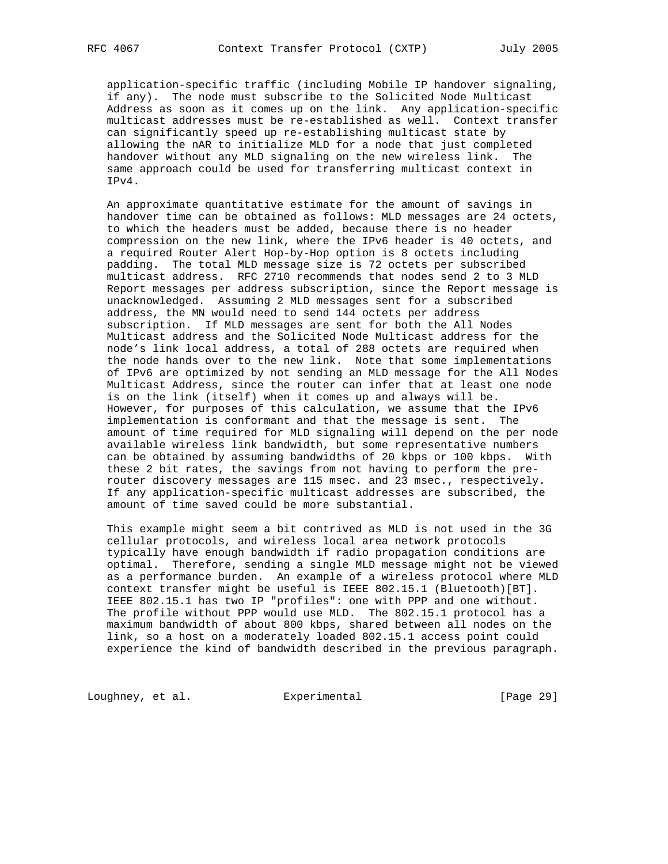application-specific traffic (including Mobile IP handover signaling, if any). The node must subscribe to the Solicited Node Multicast Address as soon as it comes up on the link. Any application-specific multicast addresses must be re-established as well. Context transfer can significantly speed up re-establishing multicast state by allowing the nAR to initialize MLD for a node that just completed handover without any MLD signaling on the new wireless link. The same approach could be used for transferring multicast context in IPv4.

 An approximate quantitative estimate for the amount of savings in handover time can be obtained as follows: MLD messages are 24 octets, to which the headers must be added, because there is no header compression on the new link, where the IPv6 header is 40 octets, and a required Router Alert Hop-by-Hop option is 8 octets including padding. The total MLD message size is 72 octets per subscribed multicast address. RFC 2710 recommends that nodes send 2 to 3 MLD Report messages per address subscription, since the Report message is unacknowledged. Assuming 2 MLD messages sent for a subscribed address, the MN would need to send 144 octets per address subscription. If MLD messages are sent for both the All Nodes Multicast address and the Solicited Node Multicast address for the node's link local address, a total of 288 octets are required when the node hands over to the new link. Note that some implementations of IPv6 are optimized by not sending an MLD message for the All Nodes Multicast Address, since the router can infer that at least one node is on the link (itself) when it comes up and always will be. However, for purposes of this calculation, we assume that the IPv6 implementation is conformant and that the message is sent. The amount of time required for MLD signaling will depend on the per node available wireless link bandwidth, but some representative numbers can be obtained by assuming bandwidths of 20 kbps or 100 kbps. With these 2 bit rates, the savings from not having to perform the pre router discovery messages are 115 msec. and 23 msec., respectively. If any application-specific multicast addresses are subscribed, the amount of time saved could be more substantial.

 This example might seem a bit contrived as MLD is not used in the 3G cellular protocols, and wireless local area network protocols typically have enough bandwidth if radio propagation conditions are optimal. Therefore, sending a single MLD message might not be viewed as a performance burden. An example of a wireless protocol where MLD context transfer might be useful is IEEE 802.15.1 (Bluetooth)[BT]. IEEE 802.15.1 has two IP "profiles": one with PPP and one without. The profile without PPP would use MLD. The 802.15.1 protocol has a maximum bandwidth of about 800 kbps, shared between all nodes on the link, so a host on a moderately loaded 802.15.1 access point could experience the kind of bandwidth described in the previous paragraph.

Loughney, et al. Experimental [Page 29]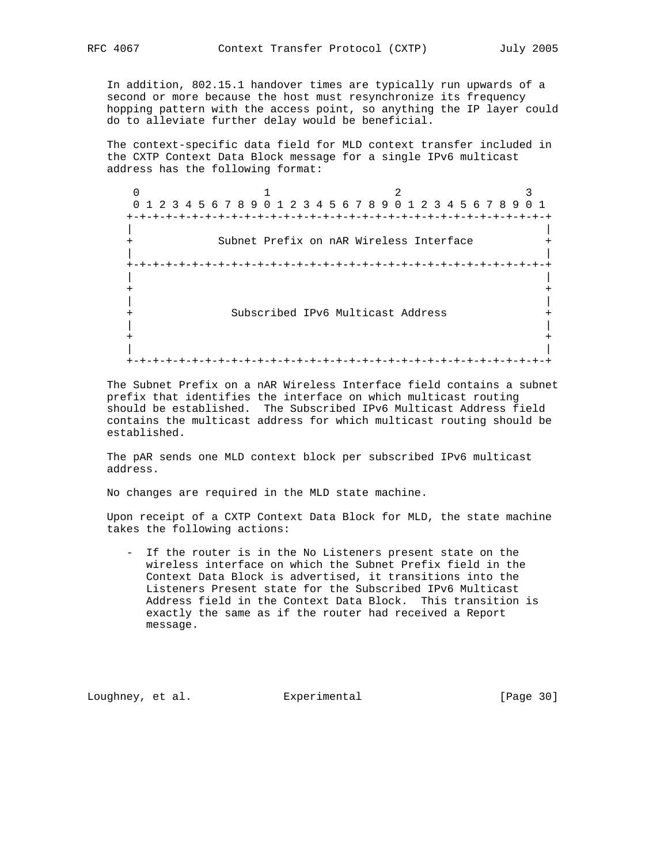In addition, 802.15.1 handover times are typically run upwards of a second or more because the host must resynchronize its frequency hopping pattern with the access point, so anything the IP layer could

do to alleviate further delay would be beneficial.

 The context-specific data field for MLD context transfer included in the CXTP Context Data Block message for a single IPv6 multicast address has the following format:

 $0$  1 2 3 0 1 2 3 4 5 6 7 8 9 0 1 2 3 4 5 6 7 8 9 0 1 2 3 4 5 6 7 8 9 0 1 +-+-+-+-+-+-+-+-+-+-+-+-+-+-+-+-+-+-+-+-+-+-+-+-+-+-+-+-+-+-+-+-+ | | Subnet Prefix on nAR Wireless Interface | | +-+-+-+-+-+-+-+-+-+-+-+-+-+-+-+-+-+-+-+-+-+-+-+-+-+-+-+-+-+-+-+-+ | | + + | | + Subscribed IPv6 Multicast Address + | | + + | | +-+-+-+-+-+-+-+-+-+-+-+-+-+-+-+-+-+-+-+-+-+-+-+-+-+-+-+-+-+-+-+-+

 The Subnet Prefix on a nAR Wireless Interface field contains a subnet prefix that identifies the interface on which multicast routing should be established. The Subscribed IPv6 Multicast Address field contains the multicast address for which multicast routing should be established.

 The pAR sends one MLD context block per subscribed IPv6 multicast address.

No changes are required in the MLD state machine.

 Upon receipt of a CXTP Context Data Block for MLD, the state machine takes the following actions:

 - If the router is in the No Listeners present state on the wireless interface on which the Subnet Prefix field in the Context Data Block is advertised, it transitions into the Listeners Present state for the Subscribed IPv6 Multicast Address field in the Context Data Block. This transition is exactly the same as if the router had received a Report message.

Loughney, et al. Experimental [Page 30]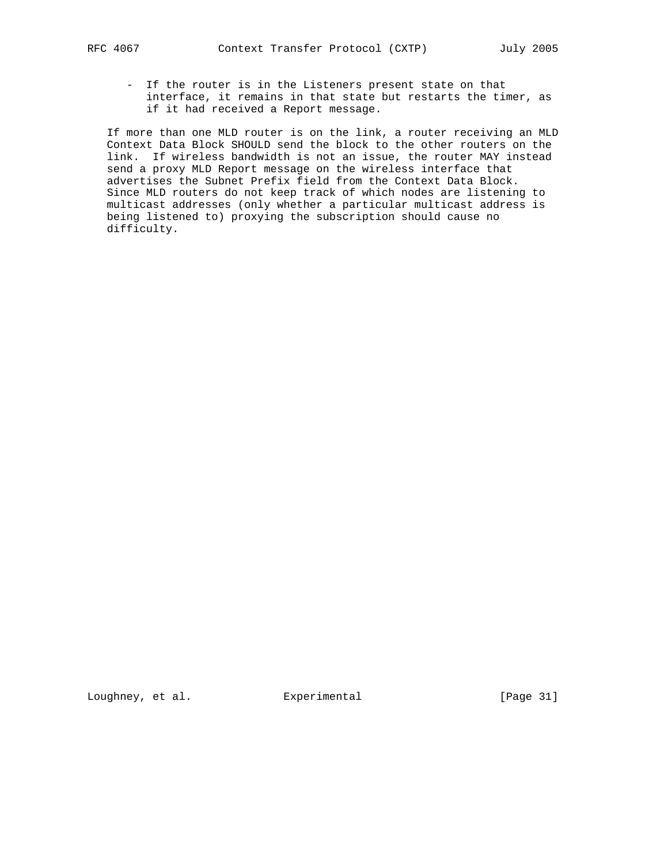- - If the router is in the Listeners present state on that interface, it remains in that state but restarts the timer, as if it had received a Report message.

 If more than one MLD router is on the link, a router receiving an MLD Context Data Block SHOULD send the block to the other routers on the link. If wireless bandwidth is not an issue, the router MAY instead send a proxy MLD Report message on the wireless interface that advertises the Subnet Prefix field from the Context Data Block. Since MLD routers do not keep track of which nodes are listening to multicast addresses (only whether a particular multicast address is being listened to) proxying the subscription should cause no difficulty.

Loughney, et al. Experimental [Page 31]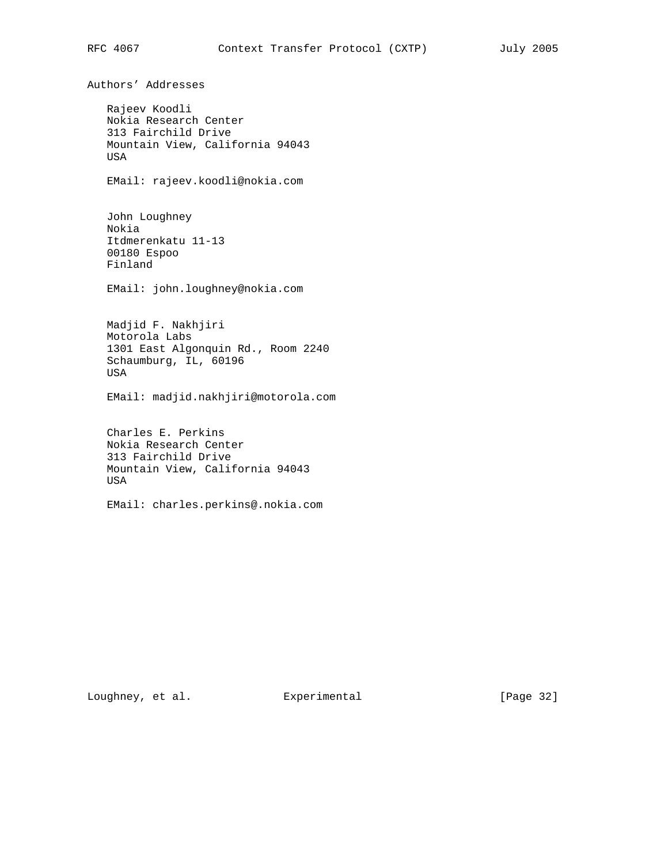Authors' Addresses Rajeev Koodli Nokia Research Center 313 Fairchild Drive Mountain View, California 94043 USA EMail: rajeev.koodli@nokia.com John Loughney Nokia Itdmerenkatu 11-13 00180 Espoo Finland EMail: john.loughney@nokia.com Madjid F. Nakhjiri Motorola Labs 1301 East Algonquin Rd., Room 2240 Schaumburg, IL, 60196 USA EMail: madjid.nakhjiri@motorola.com Charles E. Perkins Nokia Research Center 313 Fairchild Drive Mountain View, California 94043 USA EMail: charles.perkins@.nokia.com

Loughney, et al. Experimental [Page 32]